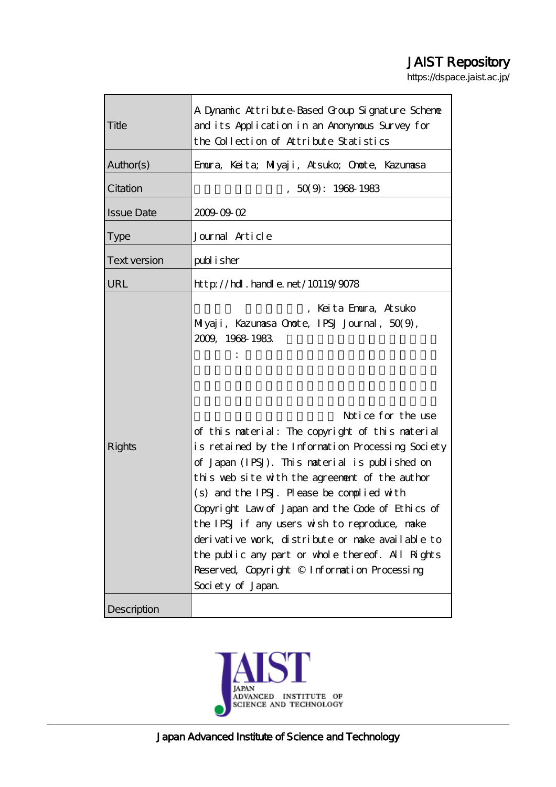# JAIST Repository

https://dspace.jaist.ac.jp/

| Title               | A Dynamic Attribute-Based Group Signature Scheme<br>and its Application in an Anonymous Survey for<br>the Collection of Attribute Statistics                                                                                                                                                                                                                                                                                                                                                                                                                                                                                                            |  |  |  |
|---------------------|---------------------------------------------------------------------------------------------------------------------------------------------------------------------------------------------------------------------------------------------------------------------------------------------------------------------------------------------------------------------------------------------------------------------------------------------------------------------------------------------------------------------------------------------------------------------------------------------------------------------------------------------------------|--|--|--|
| Author(s)           | Emura, Keita; Milyaji, Atsuko; Omote, Kazumasa                                                                                                                                                                                                                                                                                                                                                                                                                                                                                                                                                                                                          |  |  |  |
| Citation            | 50(9:19681983)                                                                                                                                                                                                                                                                                                                                                                                                                                                                                                                                                                                                                                          |  |  |  |
| <b>Issue Date</b>   | 20090902                                                                                                                                                                                                                                                                                                                                                                                                                                                                                                                                                                                                                                                |  |  |  |
| <b>Type</b>         | Journal Article                                                                                                                                                                                                                                                                                                                                                                                                                                                                                                                                                                                                                                         |  |  |  |
| <b>Text version</b> | publisher                                                                                                                                                                                                                                                                                                                                                                                                                                                                                                                                                                                                                                               |  |  |  |
| URL                 | $http$ // $hdl$ . handle. net/10119/9078                                                                                                                                                                                                                                                                                                                                                                                                                                                                                                                                                                                                                |  |  |  |
| <b>Rights</b>       | Keita Emora, Atsuko<br>Miyaji, Kazunasa Onote, IPSJ Journal, 50(9),<br>2009, 1968 1983<br>Notice for the use<br>of this material: The copyright of this material<br>is retained by the Information Processing Society<br>of Japan (IPSJ). This material is published on<br>this web site with the agreement of the author<br>(s) and the IPSJ. Please be complied with<br>Copyright Law of Japan and the Code of Ethics of<br>the IPSJ if any users wish to reproduce, make<br>derivative work, distribute or make available to<br>the public any part or whole thereof. All Rights<br>Reserved, Copyright © Information Processing<br>Society of Japan |  |  |  |
| Description         |                                                                                                                                                                                                                                                                                                                                                                                                                                                                                                                                                                                                                                                         |  |  |  |

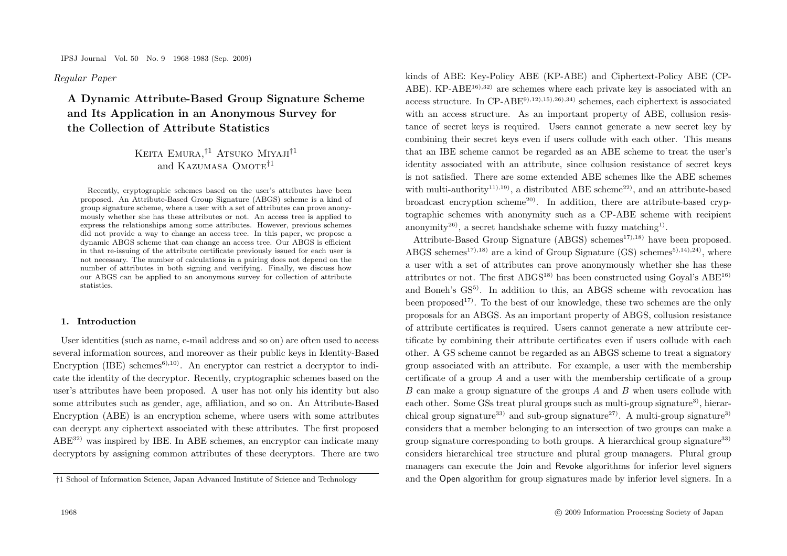*Regular Paper*

**A Dynamic Attribute-Based Group Signature Scheme and Its Application in an Anonymous Survey for the Collection of Attribute Statistics**

# KEITA EMURA, <sup>†1</sup> ATSUKO MIYAJI<sup>†1</sup> and KAZUMASA OMOTE<sup>†1</sup>

Recently, cryptographic schemes based on the user's attributes have been proposed. An Attribute-Based Group Signature (ABGS) scheme is a kind of group signature scheme, where a user with a set of attributes can prove anonymously whether she has these attributes or not. An access tree is applied to express the relationships among some attributes. However, previous schemes did not provide a way to change an access tree. In this paper, we propose a dynamic ABGS scheme that can change an access tree. Our ABGS is efficient in that re-issuing of the attribute certificate previously issued for each user is not necessary. The number of calculations in a pairing does not depend on the number of attributes in both signing and verifying. Finally, we discuss how our ABGS can be applied to an anonymous survey for collection of attribute statistics.

#### **1. Introduction**

User identities (such as name, e-mail address and so on) are often used to access several information sources, and moreover as their public keys in Identity-Based Encryption (IBE) schemes<sup>6),10</sup>. An encryptor can restrict a decryptor to indicate the identity of the decryptor. Recently, cryptographic schemes based on the user's attributes have been proposed. A user has not only his identity but also some attributes such as gender, age, affiliation, and so on. An Attribute-Based Encryption (ABE) is an encryption scheme, where users with some attributes can decrypt any ciphertext associated with these attributes. The first proposed ABE32) was inspired by IBE. In ABE schemes, an encryptor can indicate many decryptors by assigning common attributes of these decryptors. There are two kinds of ABE: Key-Policy ABE (KP-ABE) and Ciphertext-Policy ABE (CP-ABE). KP-ABE<sup>16),32)</sup> are schemes where each private key is associated with an access structure. In  $CP-ABE^{(9),12),15),26}$ ,34) schemes, each ciphertext is associated with an access structure. As an important property of ABE, collusion resistance of secret keys is required. Users cannot generate a new secret key by combining their secret keys even if users collude with each other. This means that an IBE scheme cannot be regarded as an ABE scheme to treat the user's identity associated with an attribute, since collusion resistance of secret keys is not satisfied. There are some extended ABE schemes like the ABE schemes with multi-authority<sup>11),19</sup>, a distributed ABE scheme<sup>22</sup>, and an attribute-based broadcast encryption scheme<sup>20)</sup>. In addition, there are attribute-based cryptographic schemes with anonymity such as a CP-ABE scheme with recipient anonymity<sup>26</sup>, a secret handshake scheme with fuzzy matching<sup>1</sup>.

Attribute-Based Group Signature (ABGS) schemes<sup>17),18)</sup> have been proposed. ABGS schemes<sup>17),18)</sup> are a kind of Group Signature (GS) schemes<sup>5),14),24)</sup>, where a user with a set of attributes can prove anonymously whether she has these attributes or not. The first  $\text{ABGS}^{18)}$  has been constructed using Goyal's  $\text{ABE}^{16)}$ and Boneh's GS<sup>5</sup>. In addition to this, an ABGS scheme with revocation has been proposed<sup>17)</sup>. To the best of our knowledge, these two schemes are the only proposals for an ABGS. As an important property of ABGS, collusion resistance of attribute certificates is required. Users cannot generate a new attribute certificate by combining their attribute certificates even if users collude with each other. A GS scheme cannot be regarded as an ABGS scheme to treat a signatory group associated with an attribute. For example, a user with the membership certificate of a group A and a user with the membership certificate of a group B can make a group signature of the groups A and B when users collude with each other. Some GSs treat plural groups such as multi-group signature<sup>3</sup>, hierarchical group signature<sup>33)</sup> and sub-group signature<sup>27)</sup>. A multi-group signature<sup>3)</sup> considers that a member belonging to an intersection of two groups can make a group signature corresponding to both groups. A hierarchical group signature<sup>33)</sup> considers hierarchical tree structure and plural group managers. Plural group managers can execute the Join and Revoke algorithms for inferior level signers and the Open algorithm for group signatures made by inferior level signers. In a

<sup>†</sup>1 School of Information Science, Japan Advanced Institute of Science and Technology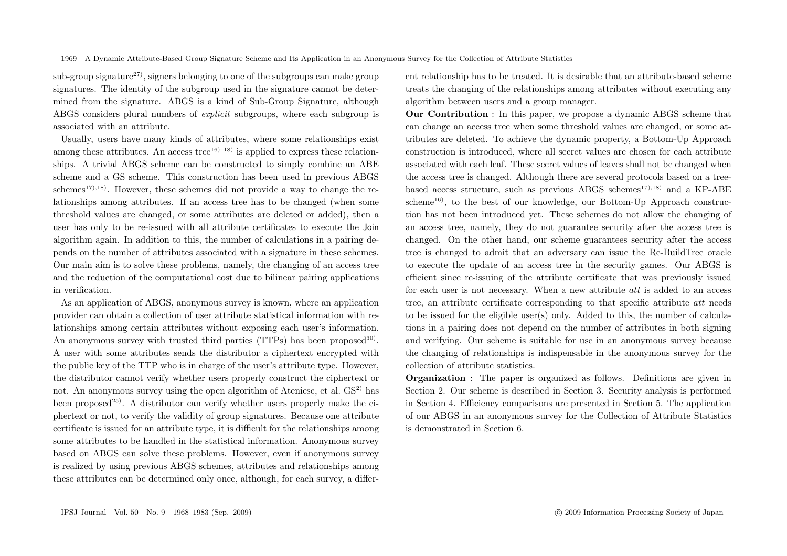sub-group signature<sup>27)</sup>, signers belonging to one of the subgroups can make group signatures. The identity of the subgroup used in the signature cannot be determined from the signature. ABGS is a kind of Sub-Group Signature, although ABGS considers plural numbers of *explicit* subgroups, where each subgroup is associated with an attribute.

Usually, users have many kinds of attributes, where some relationships exist among these attributes. An access tree<sup>16)–18</sup> is applied to express these relationships. A trivial ABGS scheme can be constructed to simply combine an ABE scheme and a GS scheme. This construction has been used in previous ABGS schemes<sup>17),18</sup>). However, these schemes did not provide a way to change the relationships among attributes. If an access tree has to be changed (when some threshold values are changed, or some attributes are deleted or added), then a user has only to be re-issued with all attribute certificates to execute the Join algorithm again. In addition to this, the number of calculations in a pairing depends on the number of attributes associated with a signature in these schemes. Our main aim is to solve these problems, namely, the changing of an access tree and the reduction of the computational cost due to bilinear pairing applications in verification.

As an application of ABGS, anonymous survey is known, where an application provider can obtain a collection of user attribute statistical information with relationships among certain attributes without exposing each user's information. An anonymous survey with trusted third parties (TTPs) has been proposed<sup>30)</sup>. A user with some attributes sends the distributor a ciphertext encrypted with the public key of the TTP who is in charge of the user's attribute type. However, the distributor cannot verify whether users properly construct the ciphertext or not. An anonymous survey using the open algorithm of Ateniese, et al.  $GS<sup>2</sup>$  has been proposed<sup>25)</sup>. A distributor can verify whether users properly make the ciphertext or not, to verify the validity of group signatures. Because one attribute certificate is issued for an attribute type, it is difficult for the relationships among some attributes to be handled in the statistical information. Anonymous survey based on ABGS can solve these problems. However, even if anonymous survey is realized by using previous ABGS schemes, attributes and relationships among these attributes can be determined only once, although, for each survey, a different relationship has to be treated. It is desirable that an attribute-based scheme treats the changing of the relationships among attributes without executing any algorithm between users and a group manager.

**Our Contribution** : In this paper, we propose a dynamic ABGS scheme that can change an access tree when some threshold values are changed, or some attributes are deleted. To achieve the dynamic property, a Bottom-Up Approach construction is introduced, where all secret values are chosen for each attribute associated with each leaf. These secret values of leaves shall not be changed when the access tree is changed. Although there are several protocols based on a treebased access structure, such as previous ABGS schemes<sup>17),18)</sup> and a KP-ABE  $scheme<sup>16</sup>$ , to the best of our knowledge, our Bottom-Up Approach construction has not been introduced yet. These schemes do not allow the changing of an access tree, namely, they do not guarantee security after the access tree is changed. On the other hand, our scheme guarantees security after the access tree is changed to admit that an adversary can issue the Re-BuildTree oracle to execute the update of an access tree in the security games. Our ABGS is efficient since re-issuing of the attribute certificate that was previously issued for each user is not necessary. When a new attribute att is added to an access tree, an attribute certificate corresponding to that specific attribute att needs to be issued for the eligible user(s) only. Added to this, the number of calculations in a pairing does not depend on the number of attributes in both signing and verifying. Our scheme is suitable for use in an anonymous survey because the changing of relationships is indispensable in the anonymous survey for the collection of attribute statistics.

**Organization** : The paper is organized as follows. Definitions are given in Section 2. Our scheme is described in Section 3. Security analysis is performed in Section 4. Efficiency comparisons are presented in Section 5. The application of our ABGS in an anonymous survey for the Collection of Attribute Statistics is demonstrated in Section 6.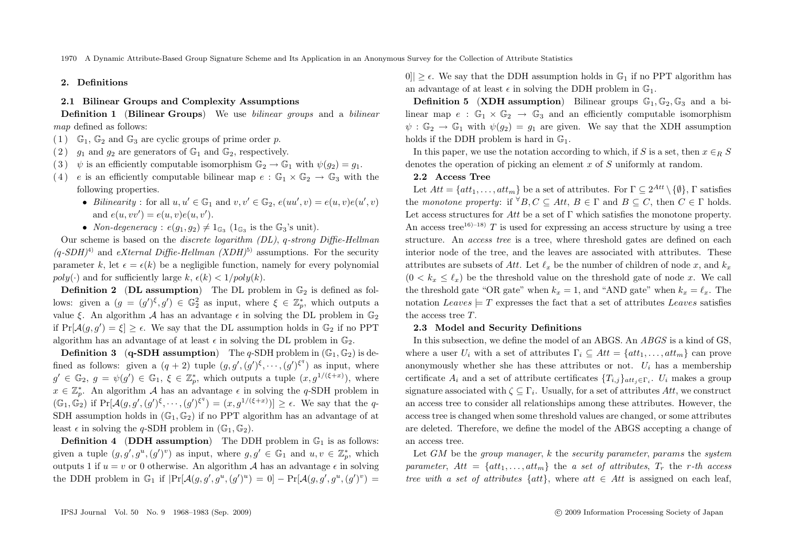#### **2. Definitions**

### **2.1 Bilinear Groups and Complexity Assumptions**

**Definition 1** (**Bilinear Groups**) We use *bilinear groups* and a *bilinear map* defined as follows:

- (1)  $\mathbb{G}_1$ ,  $\mathbb{G}_2$  and  $\mathbb{G}_3$  are cyclic groups of prime order p.
- (2)  $q_1$  and  $q_2$  are generators of  $\mathbb{G}_1$  and  $\mathbb{G}_2$ , respectively.
- (3)  $\psi$  is an efficiently computable isomorphism  $\mathbb{G}_2 \to \mathbb{G}_1$  with  $\psi(g_2) = g_1$ .
- (4) e is an efficiently computable bilinear map  $e : \mathbb{G}_1 \times \mathbb{G}_2 \to \mathbb{G}_3$  with the following properties.
	- *Bilinearity*: for all  $u, u' \in \mathbb{G}_1$  and  $v, v' \in \mathbb{G}_2$ ,  $e(uu', v) = e(u, v)e(u', v)$ and  $e(u, vv') = e(u, v)e(u, v').$
	- *Non-degeneracy* :  $e(q_1, q_2) \neq 1_{\mathbb{G}_2}$  ( $1_{\mathbb{G}_3}$  is the  $\mathbb{G}_3$ 's unit).

Our scheme is based on the *discrete logarithm (DL)*, q*-strong Diffie-Hellman*  $(q$ -SDH)<sup>4)</sup> and *eXternal Diffie-Hellman (XDH*)<sup>5)</sup> assumptions. For the security parameter k, let  $\epsilon = \epsilon(k)$  be a negligible function, namely for every polynomial  $poly(\cdot)$  and for sufficiently large k,  $\epsilon(k) < 1/poly(k)$ .

**Definition 2** (DL assumption) The DL problem in  $\mathbb{G}_2$  is defined as follows: given a  $(g = (g')^{\xi}, g') \in \mathbb{G}_2^2$  as input, where  $\xi \in \mathbb{Z}_p^*$ , which outputs a value  $\xi$ . An algorithm A has an advantage  $\epsilon$  in solving the DL problem in  $\mathbb{G}_2$ if  $Pr[\mathcal{A}(g, g') = \xi] \ge \epsilon$ . We say that the DL assumption holds in  $\mathbb{G}_2$  if no PPT algorithm has an advantage of at least  $\epsilon$  in solving the DL problem in  $\mathbb{G}_2$ .

**Definition 3** (**q-SDH** assumption) The *q*-SDH problem in  $(\mathbb{G}_1, \mathbb{G}_2)$  is defined as follows: given a  $(q + 2)$  tuple  $(g, g', (g')^{\xi}, \dots, (g')^{\xi^q})$  as input, where  $g' \in \mathbb{G}_2, g = \psi(g') \in \mathbb{G}_1, \xi \in \mathbb{Z}_p^*$ , which outputs a tuple  $(x, g^{1/(\xi+x)})$ , where  $x \in \mathbb{Z}_p^*$ . An algorithm A has an advantage  $\epsilon$  in solving the q-SDH problem in  $(\mathbb{G}_1, \mathbb{G}_2)$  if  $Pr[\mathcal{A}(g, g', (g')^{\xi}, \cdots, (g')^{\xi^q}) = (x, g^{1/(\xi+x)})] \ge \epsilon$ . We say that the q-SDH assumption holds in  $(\mathbb{G}_1, \mathbb{G}_2)$  if no PPT algorithm has an advantage of at least  $\epsilon$  in solving the q-SDH problem in  $(\mathbb{G}_1, \mathbb{G}_2)$ .

**Definition 4** (**DDH** assumption) The DDH problem in  $\mathbb{G}_1$  is as follows: given a tuple  $(g, g', g^u, (g')^v)$  as input, where  $g, g' \in \mathbb{G}_1$  and  $u, v \in \mathbb{Z}_p^*$ , which outputs 1 if  $u = v$  or 0 otherwise. An algorithm A has an advantage  $\epsilon$  in solving the DDH problem in  $\mathbb{G}_1$  if  $|\Pr[\mathcal{A}(g,g',g^u,(g')^u) = 0] - \Pr[\mathcal{A}(g,g',g^u,(g')^v) =$  0||  $> \epsilon$ . We say that the DDH assumption holds in  $\mathbb{G}_1$  if no PPT algorithm has an advantage of at least  $\epsilon$  in solving the DDH problem in  $\mathbb{G}_1$ .

**Definition 5** (**XDH** assumption) Bilinear groups  $\mathbb{G}_1$ ,  $\mathbb{G}_2$ ,  $\mathbb{G}_3$  and a bilinear map  $e : \mathbb{G}_1 \times \mathbb{G}_2 \to \mathbb{G}_3$  and an efficiently computable isomorphism  $\psi : \mathbb{G}_2 \to \mathbb{G}_1$  with  $\psi(q_2) = q_1$  are given. We say that the XDH assumption holds if the DDH problem is hard in  $\mathbb{G}_1$ .

In this paper, we use the notation according to which, if S is a set, then  $x \in R$  S denotes the operation of picking an element x of S uniformly at random.

#### **2.2 Access Tree**

Let  $Att = \{att_1, \ldots, att_m\}$  be a set of attributes. For  $\Gamma \subseteq 2^{Att} \setminus \{\emptyset\}, \Gamma$  satisfies the *monotone property*: if  $\forall B, C \subseteq Att, B \in \Gamma$  and  $B \subseteq C$ , then  $C \in \Gamma$  holds. Let access structures for Att be a set of  $\Gamma$  which satisfies the monotone property. An access tree<sup>16)–18)</sup> T is used for expressing an access structure by using a tree structure. An *access tree* is a tree, where threshold gates are defined on each interior node of the tree, and the leaves are associated with attributes. These attributes are subsets of Att. Let  $\ell_x$  be the number of children of node x, and  $k_x$  $(0 < k_x \leq \ell_x)$  be the threshold value on the threshold gate of node x. We call the threshold gate "OR gate" when  $k_x = 1$ , and "AND gate" when  $k_x = \ell_x$ . The notation Leaves  $= T$  expresses the fact that a set of attributes Leaves satisfies the access tree T.

#### **2.3 Model and Security Definitions**

In this subsection, we define the model of an ABGS. An *ABGS* is a kind of GS, where a user  $U_i$  with a set of attributes  $\Gamma_i \subset Att = \{att_1, \ldots, att_m\}$  can prove anonymously whether she has these attributes or not.  $U_i$  has a membership certificate  $A_i$  and a set of attribute certificates  $\{T_{i,j}\}_{att_i\in\Gamma_i}$ .  $U_i$  makes a group signature associated with  $\zeta \subset \Gamma_i$ . Usually, for a set of attributes Att, we construct an access tree to consider all relationships among these attributes. However, the access tree is changed when some threshold values are changed, or some attributes are deleted. Therefore, we define the model of the ABGS accepting a change of an access tree.

Let GM be the *group manager*, k the *security parameter*, params the *system parameter*,  $Att = \{att_1, \ldots, att_m\}$  the *a set of attributes*,  $T_r$  the *r-th access tree with a set of attributes*  $\{att\}$ , where  $att \in Att$  is assigned on each leaf,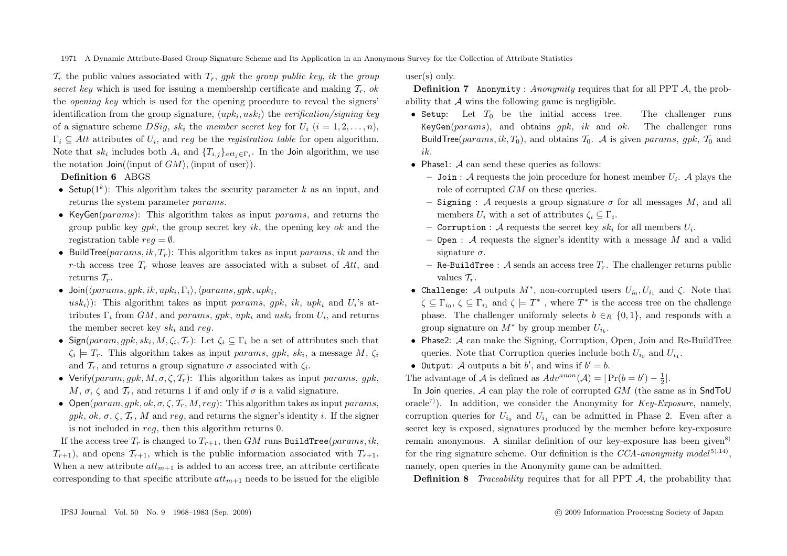$\mathcal{T}_r$  the public values associated with  $T_r$ , *qpk* the *group public key, ik* the *group secret key* which is used for issuing a membership certificate and making  $\mathcal{T}_r$ , ok the *opening key* which is used for the opening procedure to reveal the signers' identification from the group signature, (upki, uski) the *verification/signing key* of a signature scheme  $DSiq$ ,  $sk_i$  the *member secret key* for  $U_i$   $(i = 1, 2, ..., n)$ ,  $\Gamma_i \subseteq Att$  attributes of  $U_i$ , and *reg* be the *registration table* for open algorithm. Note that  $sk_i$  includes both  $A_i$  and  $\{T_{i,j}\}_{att_i \in \Gamma_i}$ . In the Join algorithm, we use the notation  $\mathsf{Join}(\langle \text{input of } GM \rangle, \langle \text{input of user} \rangle).$ 

**Definition 6** ABGS

- Setup( $1^k$ ): This algorithm takes the security parameter k as an input, and returns the system parameter params.
- KeyGen( $params$ ): This algorithm takes as input params, and returns the group public key *qpk*, the group secret key *ik*, the opening key *ok* and the registration table  $req = \emptyset$ .
- Build Tree( $params, ik, T_r$ ): This algorithm takes as input params, ik and the r-th access tree  $T_r$  whose leaves are associated with a subset of Att, and returns  $\mathcal{T}_r$ .
- Join( $\langleparams, gpk, ik, upk_i, \Gamma_i \rangle$ ,  $\langleparams, gpk, upk_i,$  $u s k_i$ ): This algorithm takes as input params, gpk, ik, upk<sub>i</sub> and  $U_i$ 's attributes  $\Gamma_i$  from GM, and params, qpk, upk<sub>i</sub> and usk<sub>i</sub> from  $U_i$ , and returns the member secret key  $sk_i$  and reg.
- Sign(param, qpk, sk<sub>i</sub>, M,  $\zeta_i, \mathcal{T}_r$ ): Let  $\zeta_i \subset \Gamma_i$  be a set of attributes such that  $\zeta_i \models T_r$ . This algorithm takes as input params, qpk, sk<sub>i</sub>, a message M,  $\zeta_i$ and  $\mathcal{T}_r$ , and returns a group signature  $\sigma$  associated with  $\zeta_i$ .
- Verify(param, qpk,  $M, \sigma, \zeta, \mathcal{T}_r$ ): This algorithm takes as input params, qpk, M,  $\sigma$ ,  $\zeta$  and  $\mathcal{T}_r$ , and returns 1 if and only if  $\sigma$  is a valid signature.
- Open(param, qpk, ok,  $\sigma$ ,  $\zeta$ ,  $\mathcal{T}_r$ ,  $M$ ,  $req$ ): This algorithm takes as input params. qpk, ok,  $\sigma$ ,  $\zeta$ ,  $\mathcal{T}_r$ , M and req, and returns the signer's identity i. If the signer is not included in reg, then this algorithm returns 0.

If the access tree  $T_r$  is changed to  $T_{r+1}$ , then GM runs BuildTree(params, ik,  $T_{r+1}$ , and opens  $\mathcal{T}_{r+1}$ , which is the public information associated with  $T_{r+1}$ . When a new attribute  $att_{m+1}$  is added to an access tree, an attribute certificate corresponding to that specific attribute  $at_{m+1}$  needs to be issued for the eligible user(s) only.

**Definition 7** Anonymity : *Anonymity* requires that for all PPT A, the probability that  $A$  wins the following game is negligible.

- Setup: Let  $T_0$  be the initial access tree. The challenger runs KeyGen(params), and obtains gpk, ik and ok. The challenger runs BuildTree(params, ik,  $T_0$ ), and obtains  $T_0$ . A is given params, gpk,  $T_0$  and ik.
- Phase1:  $A$  can send these queries as follows:
	- $-$  Join : A requests the join procedure for honest member  $U_i$ . A plays the role of corrupted GM on these queries.
	- **–** Signing : A requests a group signature  $\sigma$  for all messages M, and all members  $U_i$  with a set of attributes  $\zeta_i \subset \Gamma_i$ .
	- **Corruption :** A requests the secret key  $sk_i$  for all members  $U_i$ .
	- **–** Open : A requests the signer's identity with a message M and a valid signature  $\sigma$ .
	- **–** Re-BuildTree : A sends an access tree  $T_r$ . The challenger returns public values  $\mathcal{T}_r$ .
- Challenge: A outputs  $M^*$ , non-corrupted users  $U_{i_0}, U_{i_1}$  and  $\zeta$ . Note that  $\zeta \subseteq \Gamma_{i_0}, \zeta \subseteq \Gamma_{i_1}$  and  $\zeta \models T^*$ , where  $T^*$  is the access tree on the challenge phase. The challenger uniformly selects  $b \in_R \{0,1\}$ , and responds with a group signature on  $M^*$  by group member  $U_{i_b}$ .
- Phase 2:  $\mathcal A$  can make the Signing, Corruption, Open, Join and Re-BuildTree queries. Note that Corruption queries include both  $U_{i_0}$  and  $U_{i_1}$ .
- Output: A outputs a bit b', and wins if  $b' = b$ .

The advantage of A is defined as  $Adv^{anon}(\mathcal{A}) = |\Pr(b = b') - \frac{1}{2}|.$ 

In Join queries,  $A$  can play the role of corrupted  $GM$  (the same as in SndToU oracle<sup>7</sup>). In addition, we consider the Anonymity for  $Key\text{-}Exposure$ , namely, corruption queries for  $U_{i_0}$  and  $U_{i_1}$  can be admitted in Phase 2. Even after a secret key is exposed, signatures produced by the member before key-exposure remain anonymous. A similar definition of our key-exposure has been given<sup>8)</sup> for the ring signature scheme. Our definition is the  $CCA$ -anonymity model<sup>5),14</sup>), namely, open queries in the Anonymity game can be admitted.

**Definition 8** *Traceability* requires that for all PPT A, the probability that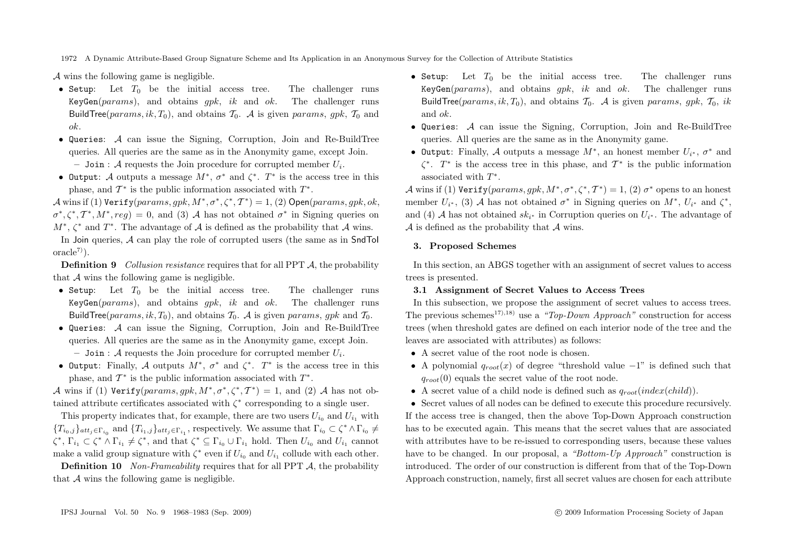A wins the following game is negligible.

- Setup: Let  $T_0$  be the initial access tree. The challenger runs KeyGen(params), and obtains *apk*, ik and ok. The challenger runs BuildTree( $params, ik, T_0$ ), and obtains  $T_0$ . A is given params, qpk,  $T_0$  and ok.
- Queries: A can issue the Signing, Corruption, Join and Re-BuildTree queries. All queries are the same as in the Anonymity game, except Join.  $\overline{\phantom{a}}$  **–** Join : A requests the Join procedure for corrupted member  $U_i$ .
- Output: A outputs a message  $M^*$ ,  $\sigma^*$  and  $\zeta^*$ .  $T^*$  is the access tree in this phase, and  $\mathcal{T}^*$  is the public information associated with  $T^*$ .

A wins if (1)  $Verify(params, gpk, M^*, \sigma^*, \zeta^*, T^*) = 1$ , (2) Open(params, gpk, ok,  $\sigma^*, \zeta^*, \mathcal{T}^*, M^*, reg) = 0$ , and (3) A has not obtained  $\sigma^*$  in Signing queries on  $M^*$ ,  $\zeta^*$  and  $T^*$ . The advantage of A is defined as the probability that A wins.

In Join queries,  $\mathcal A$  can play the role of corrupted users (the same as in  $SndT$ o  $oracle^{7})$ .

**Definition 9** *Collusion resistance* requires that for all PPT A, the probability that  $\mathcal A$  wins the following game is negligible.

- Setup: Let  $T_0$  be the initial access tree. The challenger runs KeyGen( $params$ ), and obtains  $gpk$ , ik and ok. The challenger runs BuildTree(params, ik,  $T_0$ ), and obtains  $T_0$ . A is given params, qpk and  $T_0$ .
- Queries: A can issue the Signing, Corruption, Join and Re-BuildTree queries. All queries are the same as in the Anonymity game, except Join.  $\overline{\phantom{a}}$  **–** Join : A requests the Join procedure for corrupted member  $U_i$ .
- Output: Finally, A outputs  $M^*$ ,  $\sigma^*$  and  $\zeta^*$ .  $T^*$  is the access tree in this phase, and  $\mathcal{T}^*$  is the public information associated with  $T^*$ .

A wins if (1) Verify(params, gpk,  $M^*, \sigma^*, \zeta^*, T^* = 1$ , and (2) A has not obtained attribute certificates associated with  $\zeta^*$  corresponding to a single user.

This property indicates that, for example, there are two users  $U_{i_0}$  and  $U_{i_1}$  with  ${T_{i_0,j}}_{att_j\in\Gamma_{i_0}}$  and  ${T_{i_1,j}}_{att_j\in\Gamma_{i_1}}$ , respectively. We assume that  $\Gamma_{i_0}\subset\zeta^*\wedge\Gamma_{i_0}\neq\zeta$  $\zeta^*, \Gamma_{i_1} \subset \zeta^* \wedge \Gamma_{i_1} \neq \zeta^*$ , and that  $\zeta^* \subseteq \Gamma_{i_0} \cup \Gamma_{i_1}$  hold. Then  $U_{i_0}$  and  $U_{i_1}$  cannot make a valid group signature with  $\zeta^*$  even if  $U_{i_0}$  and  $U_{i_1}$  collude with each other.

**Definition 10** *Non-Frameability* requires that for all PPT A, the probability that  $A$  wins the following game is negligible.

- Setup: Let  $T_0$  be the initial access tree. The challenger runs KeyGen(params), and obtains gpk, ik and ok. The challenger runs BuildTree(params, ik,  $T_0$ ), and obtains  $T_0$ . A is given params, qpk,  $T_0$ , ik and ok.
- Queries:  $A$  can issue the Signing, Corruption, Join and Re-BuildTree queries. All queries are the same as in the Anonymity game.
- Output: Finally, A outputs a message  $M^*$ , an honest member  $U_{i^*}$ ,  $\sigma^*$  and  $\zeta^*$ .  $T^*$  is the access tree in this phase, and  $T^*$  is the public information associated with  $T^*$ .

A wins if (1) Verify(params, gpk,  $M^*, \sigma^*, \zeta^*, T^*$ ) = 1, (2)  $\sigma^*$  opens to an honest member  $U_{i^*}$ , (3) A has not obtained  $\sigma^*$  in Signing queries on  $M^*$ ,  $U_{i^*}$  and  $\zeta^*$ , and (4) A has not obtained  $sk_{i*}$  in Corruption queries on  $U_{i*}$ . The advantage of  $\mathcal A$  is defined as the probability that  $\mathcal A$  wins.

## **3. Proposed Schemes**

In this section, an ABGS together with an assignment of secret values to access trees is presented.

#### **3.1 Assignment of Secret Values to Access Trees**

In this subsection, we propose the assignment of secret values to access trees. The previous schemes<sup>17),18)</sup> use a *"Top-Down Approach"* construction for access trees (when threshold gates are defined on each interior node of the tree and the leaves are associated with attributes) as follows:

- A secret value of the root node is chosen.
- A polynomial  $q_{root}(x)$  of degree "threshold value  $-1$ " is defined such that  $q_{root}(0)$  equals the secret value of the root node.
- A secret value of a child node is defined such as  $q_{root}(index(child))$ .

• Secret values of all nodes can be defined to execute this procedure recursively. If the access tree is changed, then the above Top-Down Approach construction has to be executed again. This means that the secret values that are associated with attributes have to be re-issued to corresponding users, because these values have to be changed. In our proposal, a *"Bottom-Up Approach"* construction is introduced. The order of our construction is different from that of the Top-Down Approach construction, namely, first all secret values are chosen for each attribute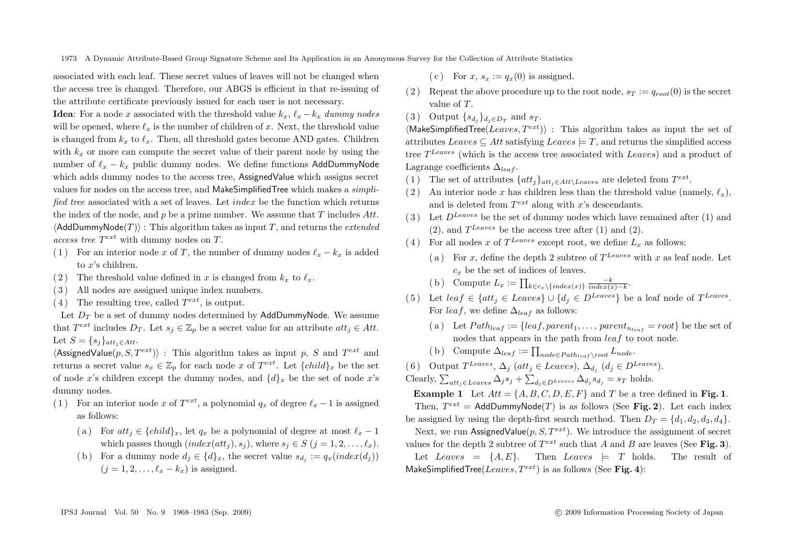associated with each leaf. These secret values of leaves will not be changed when the access tree is changed. Therefore, our ABGS is efficient in that re-issuing of the attribute certificate previously issued for each user is not necessary.

**Idea**: For a node x associated with the threshold value  $k_x$ ,  $\ell_x - k_x$  *dummy nodes* will be opened, where  $\ell_x$  is the number of children of x. Next, the threshold value is changed from  $k_x$  to  $\ell_x$ . Then, all threshold gates become AND gates. Children with  $k_r$  or more can compute the secret value of their parent node by using the number of  $\ell_x - k_x$  public dummy nodes. We define functions AddDummyNode which adds dummy nodes to the access tree, AssignedValue which assigns secret values for nodes on the access tree, and MakeSimplifiedTree which makes a *simplified tree* associated with a set of leaves. Let index be the function which returns the index of the node, and  $p$  be a prime number. We assume that  $T$  includes  $Att$ .  $\langle \mathsf{AddDummyNode}(T) \rangle$  : This algorithm takes as input  $T,$  and returns the  $extended$ *access tree*  $T^{ext}$  with dummy nodes on T.

- ( 1) For an interior node x of T, the number of dummy nodes  $\ell_x k_x$  is added to x's children.
- (2) The threshold value defined in x is changed from  $k_x$  to  $\ell_x$ .
- ( 3 ) All nodes are assigned unique index numbers.
- $(4)$  The resulting tree, called  $T^{ext}$ , is output.

Let  $D_T$  be a set of dummy nodes determined by AddDummyNode. We assume that  $T^{ext}$  includes  $D_T$ . Let  $s_j \in \mathbb{Z}_p$  be a secret value for an attribute  $att_j \in Att$ . Let  $S = \{s_i\}_{att_i \in Att}$ .

 $\langle$ AssignedValue $(p, S, T^{ext})\rangle$ : This algorithm takes as input p, S and  $T^{ext}$  and returns a secret value  $s_x \in \mathbb{Z}_p$  for each node x of  $T^{ext}$ . Let  $\{child\}_x$  be the set of node x's children except the dummy nodes, and  $\{d\}_x$  be the set of node x's dummy nodes.

- ( 1) For an interior node x of  $T^{ext}$ , a polynomial  $q_x$  of degree  $\ell_x 1$  is assigned as follows:
	- (a) For  $att_i \in \{child\}_x$ , let  $q_x$  be a polynomial of degree at most  $\ell_x 1$ which passes though  $index(at_i), s_i)$ , where  $s_i \in S$   $(j = 1, 2, \ldots, \ell_x)$ .
	- (b) For a dummy node  $d_i \in \{d\}_x$ , the secret value  $s_{d_i} := q_x(index(d_i))$  $(j = 1, 2, \ldots, \ell_x - k_x)$  is assigned.
- (c) For  $x, s_x := a_x(0)$  is assigned.
- (2) Repeat the above procedure up to the root node,  $s_T := q_{root}(0)$  is the secret value of T.
- (3) Output  $\{s_{d_i}\}_{d_i \in D_T}$  and  $s_T$ .

 $\langle$ MakeSimplifiedTree(Leaves,  $T^{ext}$ ) : This algorithm takes as input the set of attributes Leaves  $\subset$  Att satisfying Leaves  $\models$  T, and returns the simplified access tree  $T^{Leaves}$  (which is the access tree associated with Leaves) and a product of Lagrange coefficients  $\Delta_{leaf}$ .

- (1) The set of attributes  $\{att_i\}_{att_i \in Att \setminus Leaves}$  are deleted from  $T^{ext}$ .
- (2) An interior node x has children less than the threshold value (namely,  $\ell_x$ ), and is deleted from  $T^{ext}$  along with x's descendants.
- (3) Let  $D^{Leaves}$  be the set of dummy nodes which have remained after (1) and  $(2)$ , and  $T^{Leaves}$  be the access tree after  $(1)$  and  $(2)$ .
- (4) For all nodes x of  $T^{Leaves}$  except root, we define  $L<sub>x</sub>$  as follows:
	- (a) For x, define the depth 2 subtree of  $T^{Leaves}$  with x as leaf node. Let  $c<sub>x</sub>$  be the set of indices of leaves.
	- (b) Compute  $L_x := \prod_{k \in c_x \setminus \{index(x)\}} \frac{-k}{index(x)-k}$ .
- ( 5) Let  $leaf \in \{att_i \in Leaves\} \cup \{d_i \in D^{Leaves}\}\)$  be a leaf node of  $T^{Leaves}$ . For leaf, we define  $\Delta_{leaf}$  as follows:
	- (a) Let  $Path_{leaf} := \{leaf, parent_1, \ldots, parent_{n_{leaf}} = root\}$  be the set of nodes that appears in the path from *leaf* to root node.
	- (b) Compute  $\Delta_{leaf} := \prod_{node \in Path_{leaf} \setminus root} L_{node}.$
- ( 6) Output  $T^{Leaves}, \Delta_i$  (att<sub>i</sub> ∈ Leaves),  $\Delta_{d_i}$  ( $d_i \in D^{Leaves}$ ).

Clearly,  $\sum_{att_j \in Leaves} \Delta_j s_j + \sum_{d_j \in D^{Leaves}} \Delta_{d_j} s_{d_j} = s_T$  holds.

**Example 1** Let  $Att = \{A, B, C, D, E, F\}$  and T be a tree defined in **Fig. 1**. Then,  $T^{ext} = \text{AddDummyNode}(T)$  is as follows (See **Fig. 2**). Let each index

be assigned by using the depth-first search method. Then  $D_T = \{d_1, d_2, d_3, d_4\}$ . Next, we run AssignedValue $(p, S, T^{ext})$ . We introduce the assignment of secret

values for the depth 2 subtree of  $T^{ext}$  such that A and B are leaves (See **Fig. 3**).

Let Leaves =  $\{A, E\}$ . Then Leaves  $\models$  T holds. The result of MakeSimplifiedTree( $Leaves, T^{ext}$ ) is as follows (See **Fig. 4**):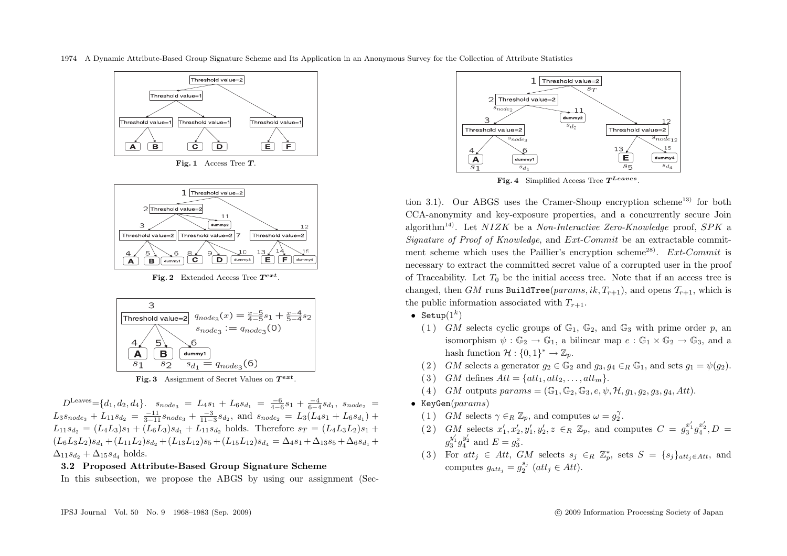



**Fig. 2** Extended Access Tree *<sup>T</sup>ext* .



**Fig. 3** Assignment of Secret Values on *<sup>T</sup>ext* .

 $D^{\text{Leaves}} = \{d_1, d_2, d_4\}.$   $s_{node3} = L_4s_1 + L_6s_{d_1} = \frac{-6}{4-6}s_1 + \frac{-4}{6-4}s_{d_1}, s_{node2}$  $L_3s_{node_3} + L_{11}s_{d_2} = \frac{-11}{3-11}s_{node_3} + \frac{-3}{11-3}s_{d_2}$ , and  $s_{node_2} = L_3(L_4s_1 + L_6s_{d_1}) +$  $L_{11}s_{d_2} = (L_4L_3)s_1 + (L_6L_3)s_{d_1} + L_{11}s_{d_2}$  holds. Therefore  $s_T = (L_4L_3L_2)s_1 + L_4L_3L_3$  $(L_6L_3L_2)s_{d_1} + (L_{11}L_2)s_{d_2} + (L_{13}L_{12})s_5 + (L_{15}L_{12})s_{d_4} = \Delta_4s_1 + \Delta_{13}s_5 + \Delta_6s_{d_1} +$  $\Delta_{11}s_{d_2} + \Delta_{15}s_{d_4}$  holds.

## **3.2 Proposed Attribute-Based Group Signature Scheme**

In this subsection, we propose the ABGS by using our assignment (Sec-



Fig. 4 Simplified Access Tree  $T^{Leaves}$ .

tion 3.1). Our ABGS uses the Cramer-Shoup encryption scheme<sup>13)</sup> for both CCA-anonymity and key-exposure properties, and a concurrently secure Join algorithm14). Let NIZK be a *Non-Interactive Zero-Knowledge* proof, SPK a *Signature of Proof of Knowledge*, and Ext-Commit be an extractable commitment scheme which uses the Paillier's encryption scheme<sup>28)</sup>. Ext-Commit is necessary to extract the committed secret value of a corrupted user in the proof of Traceability. Let  $T_0$  be the initial access tree. Note that if an access tree is changed, then GM runs BuildTree( $params, ik, T_{r+1}$ ), and opens  $T_{r+1}$ , which is the public information associated with  $T_{r+1}$ .

- Setup $(1^k)$ 
	- (1) GM selects cyclic groups of  $\mathbb{G}_1$ ,  $\mathbb{G}_2$ , and  $\mathbb{G}_3$  with prime order p, an isomorphism  $\psi : \mathbb{G}_2 \to \mathbb{G}_1$ , a bilinear map  $e : \mathbb{G}_1 \times \mathbb{G}_2 \to \mathbb{G}_3$ , and a hash function  $\mathcal{H}: \{0,1\}^* \to \mathbb{Z}_n$ .
	- (2) GM selects a generator  $g_2 \in \mathbb{G}_2$  and  $g_3, g_4 \in_R \mathbb{G}_1$ , and sets  $g_1 = \psi(g_2)$ .
	- (3) GM defines  $Att = \{att_1, att_2, \ldots, att_m\}.$
	- (4) GM outputs  $params = (\mathbb{G}_1, \mathbb{G}_2, \mathbb{G}_3, e, \psi, \mathcal{H}, q_1, q_2, q_3, q_4, Att).$
- KeyGen( $params$ )
	- (1) GM selects  $\gamma \in_R \mathbb{Z}_p$ , and computes  $\omega = g_2^{\gamma}$ .
	- (2) GM selects  $x'_1, x'_2, y'_1, y'_2, z \in_R \mathbb{Z}_p$ , and computes  $C = g_3^{x'_1} g_4^{x'_2}, D =$  $g_3^{y'_1}g_4^{y'_2}$  and  $E = g_3^z$ .
	- (3) For  $att_j \in Att$ , GM selects  $s_j \in_R \mathbb{Z}_p^*$ , sets  $S = \{s_j\}_{att_j \in Att}$ , and computes  $g_{att_j} = g_2^{s_j}$  (att<sub>j</sub> ∈ Att).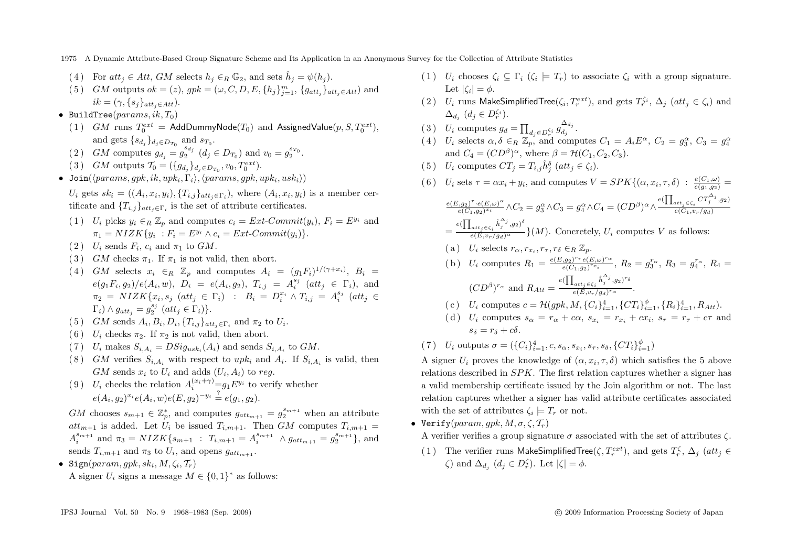- 1975 A Dynamic Attribute-Based Group Signature Scheme and Its Application in an Anonymous Survey for the Collection of Attribute Statistics
- (4) For  $att_i \in Att$ , GM selects  $h_i \in_R \mathbb{G}_2$ , and sets  $\hat{h}_i = \psi(h_i)$ .
- (5) GM outputs  $ok = (z)$ ,  $gpk = (\omega, C, D, E, \{h_j\}_{j=1}^m, \{g_{att_j}\}_{att_j \in Att})$  and  $ik = (\gamma, \{s_i\}_{att_i \in Att}).$
- BuildTree( $params, ik, T_0$ )
	- (1) GM runs  $T_0^{ext} = \text{AddDummyNode}(T_0)$  and AssignedValue $(p, S, T_0^{ext}),$ and gets  $\{s_{d_i}\}_{d_i \in D_{T_0}}$  and  $s_{T_0}$ .
	- (2) *GM* computes  $g_{d_j} = g_2^{s_{d_j}}$  ( $d_j \in D_{T_0}$ ) and  $v_0 = g_2^{s_{T_0}}$ .
	- (3) GM outputs  $T_0 = (\{g_{d_j}\}_{d_j \in D_{T_0}}, v_0, T_0^{ext})$ .
- Join $(\langleparams, gpk, ik, upk_i, \Gamma_i \rangle, \langleparams, gpk, upk_i, usk_i \rangle)$

 $U_i$  gets  $sk_i = ((A_i, x_i, y_i), \{T_{i,j}\}_{att_i \in \Gamma_i})$ , where  $(A_i, x_i, y_i)$  is a member certificate and  $\{T_{i,j}\}_{att_i\in\Gamma_i}$  is the set of attribute certificates.

- (1)  $U_i$  picks  $y_i \in_R \mathbb{Z}_n$  and computes  $c_i = Ext\text{-}Commit(y_i)$ ,  $F_i = E^{y_i}$  and  $\pi_1 = NIZK\{y_i : F_i = E^{y_i} \wedge c_i = Ext\text{-}Commit(y_i)\}.$
- (2)  $U_i$  sends  $F_i$ ,  $c_i$  and  $\pi_1$  to  $GM$ .
- (3) GM checks  $\pi_1$ . If  $\pi_1$  is not valid, then abort.
- (4) GM selects  $x_i \in_R \mathbb{Z}_n$  and computes  $A_i = (q_1 F_i)^{1/(\gamma + x_i)}$ ,  $B_i =$  $e(g_1F_i, g_2)/e(A_i, w)$ ,  $D_i = e(A_i, g_2)$ ,  $T_{i,j} = A_i^{s_j}$  (att<sub>j</sub>  $\in \Gamma_i$ ), and  $\pi_2 = NIZK\{x_i, s_j \ (att_j \in \Gamma_i) \ : \ B_i = D_i^{x_i} \wedge T_{i,j} = A_i^{s_j} \ (att_j \in \Gamma_i)$  $\Gamma_i) \wedge g_{att_j} = g_2^{s_j}$   $(att_j \in \Gamma_i)$ .
- (5) GM sends  $A_i, B_i, D_i, \{T_{i,j}\}_{att_i \in \Gamma_i}$  and  $\pi_2$  to  $U_i$ .
- (6)  $U_i$  checks  $\pi_2$ . If  $\pi_2$  is not valid, then abort.
- (7)  $U_i$  makes  $S_{i,A_i} = DSig_{usk_i}(A_i)$  and sends  $S_{i,A_i}$  to  $GM$ .
- (8) GM verifies  $S_{i,A_i}$  with respect to upk<sub>i</sub> and  $A_i$ . If  $S_{i,A_i}$  is valid, then  $GM$  sends  $x_i$  to  $U_i$  and adds  $(U_i, A_i)$  to reg.
- (9)  $U_i$  checks the relation  $A_i^{(x_i+\gamma)} = g_1 E^{y_i}$  to verify whether  $e(A_i, g_2)^{x_i}e(A_i, w)e(E, g_2)^{-y_i} \stackrel{?}{=} e(g_1, g_2).$

GM chooses  $s_{m+1} \in \mathbb{Z}_p^*$ , and computes  $g_{att_{m+1}} = g_2^{s_{m+1}}$  when an attribute  $att_{m+1}$  is added. Let  $U_i$  be issued  $T_{i,m+1}$ . Then GM computes  $T_{i,m+1}$  $A_i^{s_{m+1}}$  and  $\pi_3 = NIZK\{s_{m+1} : T_{i,m+1} = A_i^{s_{m+1}} \wedge g_{att_{m+1}} = g_2^{s_{m+1}}\},$  and sends  $T_{i,m+1}$  and  $\pi_3$  to  $U_i$ , and opens  $g_{att_m+1}$ .

• Sign(param, gpk, ski,  $M, \zeta_i, \mathcal{T}_r$ ) A signer  $U_i$  signs a message  $M \in \{0, 1\}^*$  as follows:

- (1)  $U_i$  chooses  $\zeta_i \subset \Gamma_i$  ( $\zeta_i \models T_r$ ) to associate  $\zeta_i$  with a group signature. Let  $|\zeta_i| = \phi$ .
- (2)  $U_i$  runs MakeSimplifiedTree( $\zeta_i, T_r^{ext}$ ), and gets  $T_r^{\zeta_i}, \Delta_j$  ( $att_j \in \zeta_i$ ) and  $\Delta_{d_j}$   $(d_j \in D_r^{\zeta_i}).$
- (3)  $U_i$  computes  $g_d = \prod_{d_j \in D_r^{\zeta_i}} g_{d_j}^{\Delta_{d_j}}$ .
- (4)  $U_i$  selects  $\alpha, \delta \in_R \mathbb{Z}_p$ , and computes  $C_1 = A_i E^{\alpha}, C_2 = g_3^{\alpha}, C_3 = g_4^{\alpha}$ and  $C_4 = (CD^{\beta})^{\alpha}$ , where  $\beta = H(C_1, C_2, C_3)$ .
- (5)  $U_i$  computes  $CT_j = T_{i,j} \hat{h}_j^{\delta}$  (att<sub>j</sub>  $\in \zeta_i$ ).
- (6)  $U_i$  sets  $\tau = \alpha x_i + y_i$ , and computes  $V = SPK\{(\alpha, x_i, \tau, \delta) : \frac{e(C_1, \omega)}{e(g_1, g_2)} =$  $\frac{e(E,g_2)^\tau \cdot e(E,\omega)^\alpha}{e(C_1,g_2)^{x_i}} \wedge C_2 = g_3^\alpha \wedge C_3 = g_4^\alpha \wedge C_4 = (CD^\beta)^\alpha \wedge \frac{e(\prod_{att_j \in \zeta_i} CT_j^{\Delta_j},g_2)}{e(C_1,v_r/g_d)}$  $e(C_1,v_r/g_d)$  $=\frac{e(\prod_{att_j\in\zeta_i}\hat{h}_j^{\Delta_j},g_2)^{\delta}}{e(E_{3^j} - \sqrt{g_4})^{\alpha}}$  $\frac{\partial u_i}{\partial e(E, v_r/g_d)^{\alpha}}$  }(*M*). Concretely,  $U_i$  computes V as follows: (a)  $U_i$  selects  $r_{\alpha}, r_{x_i}, r_{\tau}, r_{\delta} \in_R \mathbb{Z}_n$ .

(b) 
$$
U_i
$$
 computes  $R_1 = \frac{e(E, g_2)^{r_{\tau}} e(E, \omega)^{r_{\alpha}}}{e(C_1, g_2)^{r_{\pi}}}, R_2 = g_3^{r_{\alpha}}, R_3 = g_4^{r_{\alpha}}, R_4 =$ 

$$
(CD^{\beta})^{r_{\alpha}}
$$
 and  $R_{Att} = \frac{e(\prod_{att_j \in \zeta_i} \hat{h}_j^{\Delta_j}, g_2)^{r_{\delta}}}{e(E, v_r/g_d)^{r_{\alpha}}}$ .

(c) 
$$
U_i
$$
 computes  $c = \mathcal{H}(gpk, M, \{C_i\}_{i=1}^4, \{CT_i\}_{i=1}^{\phi}, \{R_i\}_{i=1}^4, R_{Att})$ .

- (d)  $U_i$  computes  $s_\alpha = r_\alpha + c\alpha$ ,  $s_{\tau_i} = r_{\tau_i} + cx_i$ ,  $s_\tau = r_\tau + c\tau$  and  $s_5 = rs + c\delta$ .
- (7)  $U_i$  outputs  $\sigma = (\{C_i\}_{i=1}^4, c, s_\alpha, s_{x_i}, s_\tau, s_\delta, \{CT_i\}_{i=1}^\phi)$

A signer U<sub>i</sub> proves the knowledge of  $(\alpha, x_i, \tau, \delta)$  which satisfies the 5 above relations described in SPK. The first relation captures whether a signer has a valid membership certificate issued by the Join algorithm or not. The last relation captures whether a signer has valid attribute certificates associated with the set of attributes  $\zeta_i \models T_r$  or not.

• Verify(param, qpk,  $M, \sigma, \zeta, \mathcal{T}_r$ )

A verifier verifies a group signature  $\sigma$  associated with the set of attributes  $\zeta$ .

(1) The verifier runs MakeSimplifiedTree( $\zeta, T_r^{ext}$ ), and gets  $T_r^{\zeta}$ ,  $\Delta_j$  ( $att_j \in$  $\zeta$ ) and  $\Delta_{d_j}$   $(d_j \in D_r^{\zeta})$ . Let  $|\zeta| = \phi$ .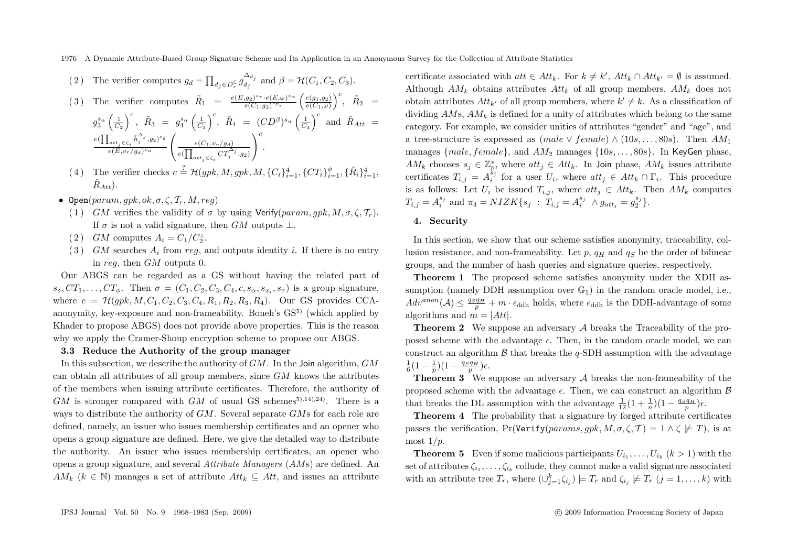1976 A Dynamic Attribute-Based Group Signature Scheme and Its Application in an Anonymous Survey for the Collection of Attribute Statistics

(2) The verifier computes 
$$
g_d = \prod_{d_j \in D_r^{\zeta}} g_{d_j}^{\Delta_{d_j}}
$$
 and  $\beta = \mathcal{H}(C_1, C_2, C_3)$ .

(3) The verifier computes 
$$
\tilde{R}_1 = \frac{e(E,g_2)^{s_{\tau}} \cdot e(E,\omega)^{s_{\alpha}}}{e(C_1,g_2)^{s_{x_i}}} \left(\frac{e(g_1,g_2)}{e(C_1,\omega)}\right)^c, \quad \tilde{R}_2 = g_3^{s_{\alpha}} \left(\frac{1}{C_2}\right)^c, \quad \tilde{R}_3 = g_4^{s_{\alpha}} \left(\frac{1}{C_3}\right)^c, \quad \tilde{R}_4 = (CD^{\beta})^{s_{\alpha}} \left(\frac{1}{C_4}\right)^c \text{ and } \quad \tilde{R}_{Att} = \frac{e(\prod_{att_j \in \zeta_i} \hat{h}_j^{A_j}, g_2)^{s_{\delta}}}{e(E,v_r/g_d)^{s_{\alpha}}} \left(\frac{e(C_1,v_r/g_d)}{e(\prod_{att_j \in \zeta_i} CT_j^{A_j}, g_2)}\right)^c.
$$

- (4) The verifier checks  $c \stackrel{?}{=} \mathcal{H}(gpk, M, gpk, M, \{C_i\}_{i=1}^4, \{CT_i\}_{i=1}^{\phi}, \{\tilde{R}_i\}_{i=1}^4,$  $\tilde{R}_{Att}$ ).
- Open(param, qpk, ok,  $\sigma$ ,  $\zeta$ ,  $\mathcal{T}_r$ ,  $M$ , reg)
	- (1) GM verifies the validity of  $\sigma$  by using Verify(param, qpk, M,  $\sigma$ ,  $\zeta$ ,  $\mathcal{T}_r$ ). If  $\sigma$  is not a valid signature, then GM outputs  $\perp$ .
	- (2) GM computes  $A_i = C_1/C_2^z$ .
	- (3) GM searches  $A_i$  from reg, and outputs identity i. If there is no entry in reg, then GM outputs 0.

Our ABGS can be regarded as a GS without having the related part of  $s_{\delta},CT_1,\ldots,CT_{\phi}$ . Then  $\sigma=(C_1,C_2,C_3,C_4,c,s_{\alpha},s_{\tau},s_{\tau})$  is a group signature, where  $c = \mathcal{H}(qpk, M, C_1, C_2, C_3, C_4, R_1, R_2, R_3, R_4)$ . Our GS provides CCAanonymity, key-exposure and non-frameability. Boneh's  $GS<sup>5</sup>$  (which applied by Khader to propose ABGS) does not provide above properties. This is the reason why we apply the Cramer-Shoup encryption scheme to propose our ABGS.

## **3.3 Reduce the Authority of the group manager**

In this subsection, we describe the authority of  $GM$ . In the Join algorithm,  $GM$ can obtain all attributes of all group members, since  $GM$  knows the attributes of the members when issuing attribute certificates. Therefore, the authority of  $GM$  is stronger compared with  $GM$  of usual GS schemes<sup>5),14),24)</sup>. There is a ways to distribute the authority of GM. Several separate GMs for each role are defined, namely, an issuer who issues membership certificates and an opener who opens a group signature are defined. Here, we give the detailed way to distribute the authority. An issuer who issues membership certificates, an opener who opens a group signature, and several *Attribute Managers* (AMs) are defined. An  $AM_k$  ( $k \in \mathbb{N}$ ) manages a set of attribute  $Att_k \subseteq Att$ , and issues an attribute

certificate associated with  $att \in Att_k$ . For  $k \neq k'$ ,  $Att_k \cap Att_{k'} = \emptyset$  is assumed. Although  $AM_k$  obtains attributes  $Att_k$  of all group members,  $AM_k$  does not obtain attributes  $Att_{k'}$  of all group members, where  $k' \neq k$ . As a classification of dividing  $AMs$ ,  $AM<sub>k</sub>$  is defined for a unity of attributes which belong to the same category. For example, we consider unities of attributes "gender" and "age", and a tree-structure is expressed as  $(male \vee female) \wedge (10s, \ldots, 80s)$ . Then  $AM_1$ manages  ${male, female}$ , and  $AM_2$  manages  ${10s, \ldots, 80s}$ . In KeyGen phase,  $AM_k$  chooses  $s_j \in \mathbb{Z}_p^*$ , where  $att_j \in Att_k$ . In Join phase,  $AM_k$  issues attribute certificates  $T_{i,j} = A_i^{\hat{s}_j}$  for a user  $U_i$ , where  $att_j \in Att_k \cap \Gamma_i$ . This procedure is as follows: Let  $U_i$  be issued  $T_{i,j}$ , where  $att_i \in Att_k$ . Then  $AM_k$  computes  $T_{i,j} = A_i^{s_j}$  and  $\pi_4 = NIZK\{s_j : T_{i,j} = A_i^{s_j} \wedge g_{att_j} = g_2^{s_j}\}.$ 

## **4. Security**

In this section, we show that our scheme satisfies anonymity, traceability, collusion resistance, and non-frameability. Let p,  $q_H$  and  $q_S$  be the order of bilinear groups, and the number of hash queries and signature queries, respectively.

**Theorem 1** The proposed scheme satisfies anonymity under the XDH assumption (namely DDH assumption over  $\mathbb{G}_1$ ) in the random oracle model, i.e.,  $Adv^{anon}(\mathcal{A}) \leq \frac{qSqH}{p} + m \cdot \epsilon_{\text{ddh}}$  holds, where  $\epsilon_{\text{ddh}}$  is the DDH-advantage of some algorithms and  $m = |Att|$ .

**Theorem 2** We suppose an adversary A breaks the Traceability of the proposed scheme with the advantage  $\epsilon$ . Then, in the random oracle model, we can construct an algorithm  $\beta$  that breaks the q-SDH assumption with the advantage  $\frac{1}{6}(1-\frac{1}{p})(1-\frac{q_S q_H}{p})\epsilon.$ 

**Theorem 3** We suppose an adversary A breaks the non-frameability of the proposed scheme with the advantage  $\epsilon$ . Then, we can construct an algorithm  $\beta$ that breaks the DL assumption with the advantage  $\frac{1}{12}(1+\frac{1}{n})(1-\frac{q_S q_H}{p})\epsilon$ .

**Theorem 4** The probability that a signature by forged attribute certificates passes the verification, Pr(Verify(params, gpk,  $M, \sigma, \zeta, T$ ) = 1  $\wedge \zeta \not\models T$ ), is at most  $1/p$ .

**Theorem 5** Even if some malicious participants  $U_{i_1}, \ldots, U_{i_k}$   $(k > 1)$  with the set of attributes  $\zeta_{i_1}, \ldots, \zeta_{i_k}$  collude, they cannot make a valid signature associated with an attribute tree  $T_r$ , where  $(\bigcup_{j=1}^k \zeta_{i_j}) \models T_r$  and  $\zeta_{i_j} \not\models T_r$   $(j = 1, \ldots, k)$  with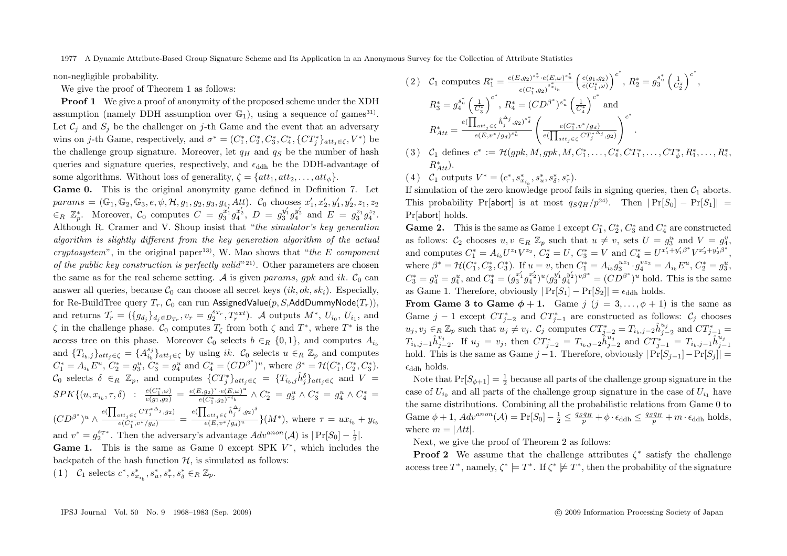non-negligible probability.

We give the proof of Theorem 1 as follows:

**Proof 1** We give a proof of anonymity of the proposed scheme under the XDH assumption (namely DDH assumption over  $\mathbb{G}_1$ ), using a sequence of games<sup>31)</sup>. Let  $\mathcal{C}_i$  and  $S_i$  be the challenger on j-th Game and the event that an adversary wins on *j*-th Game, respectively, and  $\sigma^* = (C_1^*, C_2^*, C_3^*, C_4^*, \{CT_j^*\}_{att_j \in \zeta}, V^*)$  be the challenge group signature. Moreover, let  $q_H$  and  $q_S$  be the number of hash queries and signature queries, respectively, and  $\epsilon_{\rm ddh}$  be the DDH-advantage of some algorithms. Without loss of generality,  $\zeta = \{att_1, att_2, \ldots, att_{\phi}\}.$ 

**Game 0.** This is the original anonymity game defined in Definition 7. Let  $params = (\mathbb{G}_1, \mathbb{G}_2, \mathbb{G}_3, e, \psi, \mathcal{H}, g_1, g_2, g_3, g_4, Att)$ .  $\mathcal{C}_0$  chooses  $x'_1, x'_2, y'_1, y'_2, z_1, z_2$  $\epsilon_R \mathbb{Z}_p^*$ . Moreover,  $\mathcal{C}_0$  computes  $C = g_3^{x'_1} g_4^{x'_2}$ ,  $D = g_3^{y'_1} g_4^{y'_2}$  and  $E = g_3^{z_1} g_4^{z_2}$ . Although R. Cramer and V. Shoup insist that "*the simulator's key generation algorithm is slightly different from the key generation algorithm of the actual cryptosystem*", in the original paper<sup>13</sup>. W. Mao shows that "*the* E *component of the public key construction is perfectly valid*<sup>"21)</sup>. Other parameters are chosen the same as for the real scheme setting. A is given params, gpk and ik.  $C_0$  can answer all queries, because  $\mathcal{C}_0$  can choose all secret keys  $(ik, ok, sk_i)$ . Especially, for Re-BuildTree query  $T_r$ ,  $C_0$  can run AssignedValue(p, S,AddDummyNode( $T_r$ )). and returns  $\mathcal{T}_r = (\{g_{d_j}\}_{d_j \in D_{T_r}}, v_r = g_2^{s_{T_r}}, T_r^{ext})$ . A outputs  $M^*$ ,  $U_{i_0}, U_{i_1}$ , and  $\zeta$  in the challenge phase.  $\mathcal{C}_0$  computes  $T_\zeta$  from both  $\zeta$  and  $T^*$ , where  $T^*$  is the access tree on this phase. Moreover  $\mathcal{C}_0$  selects  $b \in_R \{0,1\}$ , and computes  $A_{i\delta}$ and  $\{T_{i_b,j}\}_{att_j\in\zeta} = \{A_{i_b}^{s_j}\}_{att_j\in\zeta}$  by using *ik.*  $\mathcal{C}_0$  selects  $u \in_R \mathbb{Z}_p$  and computes  $C_1^* = A_{i_b}E^u$ ,  $C_2^* = g_3^u$ ,  $C_3^* = g_4^u$  and  $C_4^* = (CD^{\beta^*})^u$ , where  $\beta^* = \mathcal{H}(C_1^*, C_2^*, C_3^*)$ .  $\mathcal{C}_0$  selects  $\delta \in_R \mathbb{Z}_p$ , and computes  $\{CT_j^*\}_{att_j \in \zeta} = \{T_{i_b,j}\hat{h}_j^{\delta}\}_{att_j \in \zeta}$  and  $V =$  $SPK \{ (u, x_{i_b}, \tau, \delta) \ : \ \frac{e(C_1^*, \omega)}{e(g_1, g_2)} = \frac{e(E, g_2)^{\tau} \cdot e(E, \omega)^u}{e(C_1^*, g_2)^{x_{i_b}}} \wedge C_2^* = g_3^u \wedge C_3^* = g_4^u \wedge C_4^* =$  $(CD^{\beta^*})^u \wedge \frac{e(\prod_{att_j \in \zeta} CT_j^{*\Delta_j}, g_2)}{e(C^* \cdot v^*/g_2)}$  $\frac{a_{i}t_{j}\in\zeta}{e(C^{*}_{1},v^{*}/ga)} = \frac{e(\prod_{att_{j}\in\zeta}\hat{h}_{j}^{\Delta_{j}},g_{2})^{\delta}}{e(E,v^{*}/ga)^{u}}$  $\frac{u_{att_j} \in \zeta}{e(E, v^*/g_d)^u}$ }(M<sup>\*</sup>), where  $\tau = ux_{i_b} + y_{i_b}$ and  $v^* = g_2^{s_T*}$ . Then the adversary's advantage  $Adv^{anon}(\mathcal{A})$  is  $|\Pr[S_0] - \frac{1}{2}|$ . **Game 1.** This is the same as Game 0 except SPK  $V^*$ , which includes the backpatch of the hash function  $H$ , is simulated as follows:

(1)  $C_1$  selects  $c^*, s_{x_{i_b}}^*, s_u^*, s_\tau^*, s_\delta^* \in_R \mathbb{Z}_p$ .

$$
(2) \quad C_1 \text{ computes } R_1^* = \frac{e(E, g_2)^{s^*_{\bullet}} \cdot e(E, \omega)^{s^*_{\bullet}}}{e(C_1^*, g_2)^{s^*_{\bullet}} \cdot i_b} \left(\frac{e(g_1, g_2)}{e(C_1^*, \omega)}\right)^{c^*}, R_2^* = g_3^{s^*_{\bullet}} \left(\frac{1}{C_2^*}\right)^{c^*},
$$
\n
$$
R_3^* = g_4^{s^*_{\bullet}} \left(\frac{1}{C_3^*}\right)^{c^*}, R_4^* = (CD^{\beta^*})^{s^*_{\bullet}} \left(\frac{1}{C_4^*}\right)^{c^*} \text{ and}
$$
\n
$$
R_{Att}^* = \frac{e(\prod_{att_j \in \zeta} \hat{h}_j^{\Delta_j}, g_2)^{s^*_{\bullet}}}{e(E, v^*/g_d)^{s^*_{\bullet}}} \left(\frac{e(C_1^*, v^*/g_d)}{e(\prod_{att_j \in \zeta} C T_j^*)^{s^*}, g_2)}\right)^{c^*}.
$$
\n
$$
(2) \quad \text{for all } a \text{ is a set of } \mathbb{R}^*, \text{ and } \mathbb{R}^*, \text{ and } \mathbb{R}^*, \text{ and } \mathbb{R}^*, \text{ and } \mathbb{R}^*, \text{ and } \mathbb{R}^*, \text{ and } \mathbb{R}^*, \text{ and } \mathbb{R}^*, \text{ and } \mathbb{R}^*, \text{ and } \mathbb{R}^*, \text{ and } \mathbb{R}^*, \text{ and } \mathbb{R}^*, \text{ and } \mathbb{R}^*, \text{ and } \mathbb{R}^*, \text{ and } \mathbb{R}^*, \text{ and } \mathbb{R}^*, \text{ and } \mathbb{R}^*, \text{ and } \mathbb{R}^*, \text{ and } \mathbb{R}^*, \text{ and } \mathbb{R}^*, \text{ and } \mathbb{R}^*, \text{ and } \mathbb{R}^*, \text{ and } \mathbb{R}^*, \text{ and } \mathbb{R}^*, \text{ and } \mathbb{R}^*, \text{ and } \mathbb{R}^*, \text{ and } \mathbb{R}^*, \text{ and } \mathbb{R}^*, \text{ and } \mathbb
$$

- (3)  $C_1$  defines  $c^* := \mathcal{H}(gpk, M, gpk, M, C_1^*, \ldots, C_4^*, CT_1^*, \ldots, CT_{\phi}^*, R_1^*, \ldots, R_4^*,$  $R_{Att}^*$ ).
- (4)  $C_1$  outputs  $V^* = (c^*, s^*_{x_{i_b}}, s^*_{u}, s^*_{\delta}, s^*_{\tau}).$

If simulation of the zero knowledge proof fails in signing queries, then  $C_1$  aborts. This probability Pr[abort] is at most  $q_Sq_H/p^{24}$ . Then  $|Pr[S_0] - Pr[S_1]| =$ Pr[abort] holds.

**Game 2.** This is the same as Game 1 except  $C_1^*, C_2^*, C_3^*$  and  $C_4^*$  are constructed as follows:  $C_2$  chooses  $u, v \in_R \mathbb{Z}_p$  such that  $u \neq v$ , sets  $U = g_3^u$  and  $V = g_4^v$ , and computes  $C_1^* = A_{i_b} U^{z_1} V^{z_2}, C_2^* = U, C_3^* = V$  and  $C_4^* = U^{x_1'+y_1'\beta^*} V^{x_2'+y_2'\beta^*},$ where  $\beta^* = \mathcal{H}(C_1^*, C_2^*, C_3^*)$ . If  $u = v$ , then  $C_1^* = A_{i_b} g_3^{u_{z_1}} \cdot g_4^{v_{z_2}} = A_{i_b} E^u$ ,  $C_2^* = g_3^u$ ,  $C_3^* = g_4^u = g_4^u$ , and  $C_4^* = (g_3^{x'_1} g_4^{x'_2})^u (g_3^{y'_1} g_4^{y'_2})^v \beta^* = (CD^{\beta^*})^u$  hold. This is the same as Game 1. Therefore, obviously  $|\Pr[S_1] - \Pr[S_2]| = \epsilon_{\text{ddh}}$  holds.

**From Game 3 to Game**  $\phi + 1$ . Game  $j$   $(j = 3, ..., \phi + 1)$  is the same as Game  $j-1$  except  $CT_{j-2}^*$  and  $CT_{j-1}^*$  are constructed as follows:  $\mathcal{C}_j$  chooses  $u_j, v_j \in_R \mathbb{Z}_p$  such that  $u_j \neq v_j$ .  $\mathcal{C}_j$  computes  $CT_{j-2}^* = T_{i_b,j-2}\hat{h}_{j-2}^{u_j}$  and  $CT_{j-1}^* =$  $T_{i_b,j-1}\hat{h}^{v_j}_{j-2}$ . If  $u_j = v_j$ , then  $CT^*_{j-2} = T_{i_b,j-2}\hat{h}^{u_j}_{j-2}$  and  $CT^*_{j-1} = T_{i_b,j-1}\hat{h}^{u_j}_{j-1}$ hold. This is the same as Game j −1. Therefore, obviously  $|Pr[S_{i-1}]-Pr[S_i]| =$  $\epsilon_{\text{ddb}}$  holds.

Note that  $Pr[S_{\phi+1}] = \frac{1}{2}$  because all parts of the challenge group signature in the case of  $U_{i_0}$  and all parts of the challenge group signature in the case of  $U_{i_1}$  have the same distributions. Combining all the probabilistic relations from Game 0 to Game  $\phi + 1$ ,  $Adv^{anon}(\mathcal{A}) = \Pr[S_0] - \frac{1}{2} \leq \frac{q_S q_H}{p} + \phi \cdot \epsilon_{\text{ddh}} \leq \frac{q_S q_H}{p} + m \cdot \epsilon_{\text{ddh}}$  holds, where  $m = |Att|$ .

Next, we give the proof of Theorem 2 as follows:

**Proof 2** We assume that the challenge attributes  $\zeta^*$  satisfy the challenge access tree  $T^*$ , namely,  $\zeta^* \models T^*$ . If  $\zeta^* \not\models T^*$ , then the probability of the signature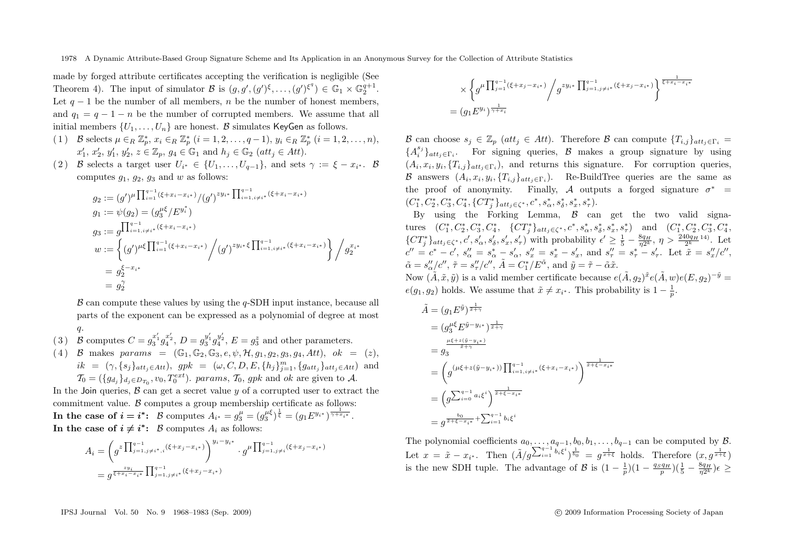made by forged attribute certificates accepting the verification is negligible (See Theorem 4). The input of simulator  $\mathcal{B}$  is  $(g, g', (g')^{\xi}, \ldots, (g')^{\xi^q}) \in \mathbb{G}_1 \times \mathbb{G}_2^{q+1}$ . Let  $q - 1$  be the number of all members, n be the number of honest members, and  $q_1 = q - 1 - n$  be the number of corrupted members. We assume that all initial members  $\{U_1,\ldots,U_n\}$  are honest. B simulates KeyGen as follows.

- (1) B selects  $\mu \in_R \mathbb{Z}_p^*$ ,  $x_i \in_R \mathbb{Z}_p^*$   $(i = 1, 2, ..., q 1)$ ,  $y_i \in_R \mathbb{Z}_p^*$   $(i = 1, 2, ..., n)$ ,  $x'_1, x'_2, y'_1, y'_2, z \in \mathbb{Z}_p$ ,  $g_4 \in \mathbb{G}_1$  and  $h_j \in \mathbb{G}_2$  (att<sub>j</sub>  $\in$  Att).
- (2) B selects a target user  $U_{i^*} \in \{U_1, \ldots, U_{q-1}\}$ , and sets  $\gamma := \xi x_{i^*}$ . B computes  $g_1, g_2, g_3$  and w as follows:

$$
g_2 := (g')^{\mu} \prod_{i=1}^{q-1} (\xi + x_i - x_{i*}) / (g')^{zy_{i*}} \prod_{i=1, i \neq i^*}^{q-1} (\xi + x_i - x_{i*})
$$
  
\n
$$
g_1 := \psi(g_2) = (g_3^{\mu \xi} / E^{y_i^*})
$$
  
\n
$$
g_3 := g \prod_{i=1, i \neq i^*}^{q-1} (\xi + x_i - x_{i*})
$$
  
\n
$$
w := \left\{ (g')^{\mu \xi} \prod_{i=1}^{q-1} (\xi + x_i - x_{i*}) / (g')^{zy_i * \xi} \prod_{i=1, i \neq i^*}^{q-1} (\xi + x_i - x_{i*}) \right\} / g_2^{x_i *}
$$
  
\n
$$
= g_2^{\xi - x_{i*}}
$$
  
\n
$$
= g_2^{\zeta}
$$

 $\beta$  can compute these values by using the q-SDH input instance, because all parts of the exponent can be expressed as a polynomial of degree at most q.

- (3) B computes  $C = g_3^{x'_1} g_4^{x'_2}$ ,  $D = g_3^{y'_1} g_4^{y'_2}$ ,  $E = g_3^z$  and other parameters.
- (4) B makes params =  $(\mathbb{G}_1, \mathbb{G}_2, \mathbb{G}_3, e, \psi, \mathcal{H}, g_1, g_2, g_3, g_4, Att), \, ok = (z),$  $ik = (\gamma, \{s_j\}_{att_j \in Att})$ ,  $gpk = (\omega, C, D, E, \{h_j\}_{j=1}^m, \{g_{att_j}\}_{att_j \in Att})$  and  $\mathcal{T}_0 = (\{g_{d_j}\}_{d_j \in D_{T_0}}, v_0, T_0^{ext})$ . params,  $\mathcal{T}_0$ , gpk and ok are given to A.

In the Join queries,  $\beta$  can get a secret value  $y$  of a corrupted user to extract the commitment value. B computes a group membership certificate as follows: **In the case of**  $i = i^*$ : B computes  $A_{i^*} = g_3^{\mu} = (g_3^{\mu \xi})^{\frac{1}{\xi}} = (g_1 E^{y_{i^*}})^{\frac{1}{\gamma + x_{i^*}}}$ . **In the case of**  $i \neq i^*$ : B computes  $A_i$  as follows:

$$
A_i = \left(g^{z \prod_{j=1, j \neq i^*, i}^{q-1} (\xi + x_j - x_{i^*})}\right)^{y_i - y_{i^*}} \cdot g^{\mu \prod_{j=1, j \neq i}^{q-1} (\xi + x_j - x_{i^*})}
$$
  
=  $g^{\frac{zy_i}{\xi + x_i - x_{i^*}}} \prod_{j=1, j \neq i^*}^{q-1} (\xi + x_j - x_{i^*})$ 

$$
\times \left\{ g^{\mu} \prod_{j=1}^{q-1} (\xi + x_j - x_{i^*}) \Big/ g^{zy_{i^*}} \prod_{j=1, j \neq i^*}^{q-1} (\xi + x_j - x_{i^*}) \right\}^{\frac{1}{\xi + x_i - x_{i^*}}}
$$
  
=  $(g_1 E^{y_i})^{\frac{1}{\gamma + x_i}}$ 

B can choose  $s_j \in \mathbb{Z}_p$  (att<sub>j</sub>  $\in$  Att). Therefore B can compute  $\{T_{i,j}\}_{att_i \in \Gamma_i}$  =  ${A_i^{s_j}}_{att_j \in \Gamma_i}$ . For signing queries, B makes a group signature by using  $(A_i, x_i, y_i, \{T_{i,j}\}_{att_i \in \Gamma_i})$ , and returns this signature. For corruption queries, B answers  $(A_i, x_i, y_i, \{T_{i,j}\}_{att \in \Gamma_i})$ . Re-BuildTree queries are the same as the proof of anonymity. Finally, A outputs a forged signature  $\sigma^*$  =  $(C_1^*, C_2^*, C_3^*, C_4^*, \{CT_j^*\}_{att_j \in \zeta^*}, c^*, s_\alpha^*, s_\delta^*, s_x^*, s_\tau^*).$ 

By using the Forking Lemma,  $\beta$  can get the two valid signatures  $(C_1^*, C_2^*, C_3^*, C_4^*, \{CT_j^*\}_{att_j \in \zeta^*}, c^*, s_\alpha^*, s_\delta^*, s_x^*, s_\tau^*)$  and  $(C_1^*, C_2^*, C_3^*, C_4^*,$  $\{CT_{j}^{*}\}_{att_{j}\in\zeta^{*}},c',s'_{\alpha},s'_{\delta},s'_{x},s'_{\tau})$  with probability  $\epsilon' \geq \frac{1}{5} - \frac{8q_{H}}{\eta 2^{k}}, \eta > \frac{240q_{H}}{2^{k}}$ <sup>14)</sup>. Let  $c'' = c^* - c'$ ,  $s''_{\alpha} = s^*_{\alpha} - s'_{\alpha}$ ,  $s''_{x} = s^*_{x} - s'_{x}$ , and  $s''_{\tau} = s^*_{\tau} - s'_{\tau}$ . Let  $\tilde{x} = s''_{x}/c''$ ,  $\tilde{\alpha} = s''_{\alpha}/c'', \, \tilde{\pi} = s''_{\tau}/c'', \, \tilde{A} = C^*_{1}/E^{\tilde{\alpha}}, \text{ and } \tilde{y} = \tilde{\tau} - \tilde{\alpha}\tilde{x}.$ 

Now  $(\tilde{A}, \tilde{x}, \tilde{y})$  is a valid member certificate because  $e(\tilde{A}, g_2)^{\tilde{x}}e(\tilde{A}, w)e(E, g_2)^{-\tilde{y}} =$  $e(g_1, g_2)$  holds. We assume that  $\tilde{x} \neq x_{i^*}$ . This probability is  $1 - \frac{1}{p}$ .

$$
\begin{split} \tilde{A} &= \left( g_1 E^{\tilde{y}} \right)^{\frac{1}{\tilde{x} + \gamma}} \\ &= \left( g_3^{\mu \xi} E^{\tilde{y} - y_i*} \right)^{\frac{1}{\tilde{x} + \gamma}} \\ &= g_3^{\frac{\mu \xi + z(\tilde{y} - y_i*)}{\tilde{x} + \gamma}} \\ &= \left( g^{\left( \mu \xi + z(\tilde{y} - y_i*) \right)} \prod_{i=1, i \neq i^*}^{q-1} (\xi + x_i - x_{i^*}) \right)^{\frac{1}{\tilde{x} + \xi - x_{i^*}}} \\ &= \left( g^{\sum_{i=0}^{q-1} a_i \xi^i} \right)^{\frac{1}{\tilde{x} + \xi - x_{i^*}}} \\ &= g^{\frac{b_0}{\tilde{x} + \xi - x_{i^*}} + \sum_{i=1}^{q-1} b_i \xi^i} \end{split}
$$

The polynomial coefficients  $a_0, \ldots, a_{q-1}, b_0, b_1, \ldots, b_{q-1}$  can be computed by  $\mathcal{B}$ . Let  $x = \tilde{x} - x_{i^*}$ . Then  $(\tilde{A}/g^{\sum_{i=1}^{q-1} \frac{1}{b_i\xi^i}})^{\frac{1}{b_0}} = g^{\frac{1}{x+\xi}}$  holds. Therefore  $(x, g^{\frac{1}{x+\xi}})$ is the new SDH tuple. The advantage of B is  $(1 - \frac{1}{p})(1 - \frac{q_S q_H}{p})(\frac{1}{5} - \frac{8q_H}{\eta 2^k})\epsilon \geq$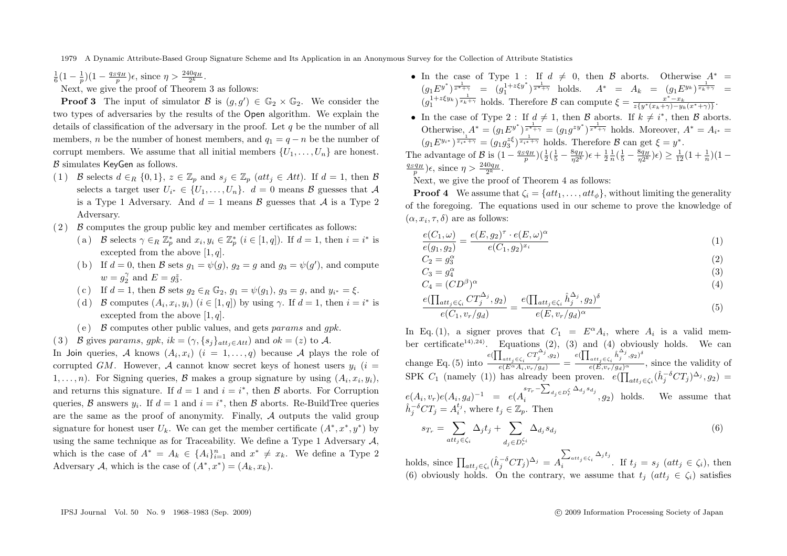$\frac{1}{6}(1-\frac{1}{p})(1-\frac{q_S q_H}{p})\epsilon$ , since  $\eta > \frac{240q_H}{2^k}$ .

Next, we give the proof of Theorem 3 as follows:

**Proof 3** The input of simulator  $\mathcal{B}$  is  $(g, g') \in \mathbb{G}_2 \times \mathbb{G}_2$ . We consider the two types of adversaries by the results of the Open algorithm. We explain the details of classification of the adversary in the proof. Let  $q$  be the number of all members, *n* be the number of honest members, and  $q_1 = q - n$  be the number of corrupt members. We assume that all initial members  $\{U_1,\ldots,U_n\}$  are honest.  $\beta$  simulates KeyGen as follows.

- (1) B selects  $d \in_R \{0,1\}$ ,  $z \in \mathbb{Z}_p$  and  $s_i \in \mathbb{Z}_p$  (att<sub>i</sub>  $\in$  Att). If  $d = 1$ , then B selects a target user  $U_{i^*} \in \{U_1, \ldots, U_n\}$ .  $d = 0$  means  $\mathcal{B}$  guesses that  $\mathcal{A}$ is a Type 1 Adversary. And  $d = 1$  means  $\beta$  guesses that  $\mathcal A$  is a Type 2 Adversary.
- $(2)$  B computes the group public key and member certificates as follows:
	- (a) B selects  $\gamma \in_R \mathbb{Z}_p^*$  and  $x_i, y_i \in \mathbb{Z}_p^*$   $(i \in [1, q])$ . If  $d = 1$ , then  $i = i^*$  is excepted from the above  $[1, q]$ .
	- (b) If  $d = 0$ , then B sets  $g_1 = \psi(g)$ ,  $g_2 = g$  and  $g_3 = \psi(g')$ , and compute  $w = g_2^{\gamma}$  and  $E = g_3^z$ .
	- ( c) If  $d = 1$ , then B sets  $g_2 \in_R \mathbb{G}_2$ ,  $g_1 = \psi(g_1)$ ,  $g_3 = g$ , and  $y_{i^*} = \xi$ .
	- (d) B computes  $(A_i, x_i, y_i)$   $(i \in [1, q])$  by using  $\gamma$ . If  $d = 1$ , then  $i = i^*$  is excepted from the above  $[1, q]$ .
	- (e)  $\beta$  computes other public values, and gets params and gpk.
- (3) B gives params, gpk, ik =  $(\gamma, \{s_i\}_{att_i \in Att})$  and  $ok = (z)$  to A.

In Join queries, A knows  $(A_i, x_i)$   $(i = 1, \ldots, q)$  because A plays the role of corrupted GM. However, A cannot know secret keys of honest users  $y_i$  (i = 1,...,n). For Signing queries, B makes a group signature by using  $(A_i, x_i, y_i)$ , and returns this signature. If  $d = 1$  and  $i = i^*$ , then  $\beta$  aborts. For Corruption queries,  $\beta$  answers  $y_i$ . If  $d = 1$  and  $i = i^*$ , then  $\beta$  aborts. Re-BuildTree queries are the same as the proof of anonymity. Finally,  $A$  outputs the valid group signature for honest user  $U_k$ . We can get the member certificate  $(A^*, x^*, y^*)$  by using the same technique as for Traceability. We define a Type 1 Adversary  $\mathcal{A}$ . which is the case of  $A^* = A_k \in \{A_i\}_{i=1}^n$  and  $x^* \neq x_k$ . We define a Type 2 Adversary A, which is the case of  $(A^*, x^*)=(A_k, x_k)$ .

- In the case of Type 1 : If  $d \neq 0$ , then B aborts. Otherwise  $A^* =$  $(g_1 E^{y^*})^{\frac{1}{x^* + \gamma}} = (g_1^{1 + z \xi y^*})^{\frac{1}{x^* + \gamma}}$  holds.  $A^* = A_k = (g_1 E^{y_k})^{\frac{1}{x_k + \gamma}} =$  $(g_1^{1+z\xi y_k})^{\frac{1}{x_k+\gamma}}$  holds. Therefore B can compute  $\xi = \frac{x^*-x_k}{z\{y^*(x_k+\gamma)-y_k(x^*+\gamma)\}}$ .
- In the case of Type 2: If  $d \neq 1$ , then B aborts. If  $k \neq i^*$ , then B aborts. Otherwise,  $A^* = (g_1 E^{y^*})^{\frac{1}{x^*+\gamma}} = (g_1 g^{zy^*})^{\frac{1}{x^*+\gamma}}$  holds. Moreover,  $A^* = A_{i^*} =$  $(g_1 E^{y_{i^*}})^{\frac{1}{x_{i^*} + \gamma}} = (g_1 g_3^{\zeta \zeta})^{\frac{1}{x_{i^*} + \gamma}}$  holds. Therefore B can get  $\xi = y^*$ .

The advantage of B is  $(1 - \frac{q_S q_H}{p})(\frac{1}{2}(\frac{1}{5} - \frac{8q_H}{\eta 2^k})\epsilon + \frac{1}{2} \frac{1}{n}(\frac{1}{5} - \frac{8q_H}{\eta 2^k})\epsilon) \ge \frac{1}{12}(1 + \frac{1}{n})(1 - \frac{q_S q_H}{\eta 2^k})\epsilon$  $\frac{q_H}{p}$ ) $\epsilon$ , since  $\eta > \frac{240q_H}{2^k}$ .

Next, we give the proof of Theorem 4 as follows:

**Proof 4** We assume that  $\zeta_i = \{att_1, \ldots, att_{\phi}\}\$ , without limiting the generality of the foregoing. The equations used in our scheme to prove the knowledge of  $(\alpha, x_i, \tau, \delta)$  are as follows:

$$
\frac{e(C_1,\omega)}{e(g_1,g_2)} = \frac{e(E,g_2)^{\tau} \cdot e(E,\omega)^{\alpha}}{e(C_1,g_2)^{x_i}} \tag{1}
$$

$$
C_2 = g_3^{\alpha} \tag{2}
$$

$$
C_3 = g_4^{\alpha} \tag{3}
$$

$$
C_4 = (CD^{\beta})^{\alpha} \tag{4}
$$

$$
\frac{e(\prod_{att_j \in \zeta_i} CT_j^{\Delta_j}, g_2)}{e(C_1, v_r/g_d)} = \frac{e(\prod_{att_j \in \zeta_i} \hat{h}_j^{\Delta_j}, g_2)^{\delta}}{e(E, v_r/g_d)^{\alpha}} \tag{5}
$$

In Eq. (1), a signer proves that  $C_1 = E^{\alpha} A_i$ , where  $A_i$  is a valid member certificate<sup>14),24</sup>). Equations (2), (3) and (4) obviously holds. We can change Eq. (5) into  $\frac{e(\prod_{att_j \in \zeta_i} CT_j^{\Delta_j}, g_2)}{e(E^{\alpha} A_i, v_r/g_d)} = \frac{e(\prod_{att_j \in \zeta_i} \hat{h}_j^{\Delta_j}, g_2)^{\delta}}{e(E, v_r/g_d)^{\alpha}}$  $\frac{a_{i}a_{i}c_{i}c_{i}}{e(E,v_{r}/g_{d})^{\alpha}}$ , since the validity of SPK  $C_1$  (namely (1)) has already been proven.  $e(\prod_{att_j \in \zeta_i} (\hat{h}_j^{-\delta}CT_j)^{\Delta_j}, g_2)$  =  $e(A_i, v_r)e(A_i, g_d)^{-1} = e(A_i^{s_{T_r}-\sum_{d_j\in D_r^{\zeta}}\Delta_{d_j}s_{d_j}}$  $i \longrightarrow a_j e^{i\omega_r}$ ,  $g_2$ ) holds. We assume that  $\hat{h}_j^{-\delta}CT_j = A_i^{t_j}$ , where  $t_j \in \mathbb{Z}_p$ . Then

$$
s_{T_r} = \sum_{att_j \in \zeta_i} \Delta_j t_j + \sum_{d_j \in D_r^{\zeta_i}} \Delta_{d_j} s_{d_j} \tag{6}
$$

holds, since  $\prod_{att_j \in \zeta_i} (\hat{h}_j^{-\delta}CT_j)^{\Delta_j} = A_i^{\sum_{att_j \in \zeta_i} \Delta_j t_j}$  $\sum_{i} a_{i} s_{j} \in S_{i}$  . If  $t_{j} = s_{j}$  (at $t_{j} \in \zeta_{i}$ ), then (6) obviously holds. On the contrary, we assume that  $t_i$  (at  $t_i \in \zeta_i$ ) satisfies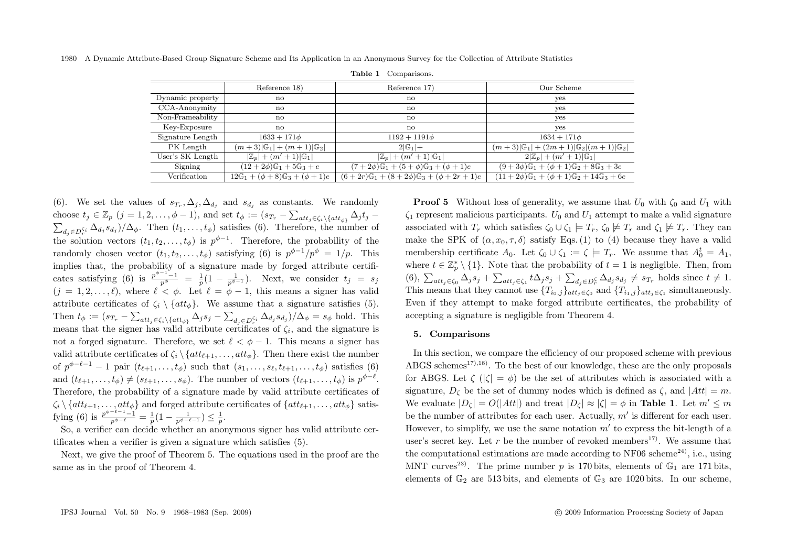|  |  |  | 1980 A Dynamic Attribute-Based Group Signature Scheme and Its Application in an Anonymous Survey for the Collection of Attribute Statistics |  |  |
|--|--|--|---------------------------------------------------------------------------------------------------------------------------------------------|--|--|
|--|--|--|---------------------------------------------------------------------------------------------------------------------------------------------|--|--|

|                  | Reference 18)                                           | Reference 17)                                               | Our Scheme                                                            |  |  |
|------------------|---------------------------------------------------------|-------------------------------------------------------------|-----------------------------------------------------------------------|--|--|
| Dynamic property | no                                                      | $\mathbf{n}$                                                | yes                                                                   |  |  |
| CCA-Anonymity    | $\mathbf{n}$                                            | no                                                          | yes                                                                   |  |  |
| Non-Frameability | $\mathbf{n}$                                            | no                                                          | yes                                                                   |  |  |
| Key-Exposure     | no                                                      | no                                                          | ves                                                                   |  |  |
| Signature Length | $1633 + 171\phi$                                        | $1192 + 1191\phi$                                           | $1634 + 171\phi$                                                      |  |  |
| PK Length        | $(m+3) \mathbb{G}_1  + (m+1) \mathbb{G}_2 $             | $2 \mathbb{G}_1 +$                                          | $(m+3) \mathbb{G}_1 $ + $(2m+1) \mathbb{G}_2 (m+1) \mathbb{G}_2 $     |  |  |
| User's SK Length | $ \mathbb{Z}_p  + (m' + 1) \mathbb{G}_1 $               | $ \mathbb{Z}_p  + (m' + 1) \mathbb{G}_1 $                   | $2 \mathbb{Z}_p  + (m' + 1) \mathbb{G}_1 $                            |  |  |
| Signing          | $(12+2\phi)\mathbb{G}_1+5\mathbb{G}_3+e$                | $(7+2\phi)\mathbb{G}_1 + (5+\phi)\mathbb{G}_3 + (\phi+1)e$  | $(9+3\phi)\mathbb{G}_1 + (\phi+1)\mathbb{G}_2 + 8\mathbb{G}_3 + 3e$   |  |  |
| Verification     | $12\mathbb{G}_1 + (\phi + 8)\mathbb{G}_3 + (\phi + 1)e$ | $(6+2r)\mathbb{G}_1 + (8+2\phi)\mathbb{G}_3 + (\phi+2r+1)e$ | $(11+2\phi)\mathbb{G}_1 + (\phi+1)\mathbb{G}_2 + 14\mathbb{G}_3 + 6e$ |  |  |

**Table 1** Comparisons.

(6). We set the values of  $s_{T_r}, \Delta_i, \Delta_{d_i}$  and  $s_{d_i}$  as constants. We randomly choose  $t_j \in \mathbb{Z}_p$   $(j = 1, 2, \ldots, \phi - 1)$ , and set  $t_{\phi} := (s_{T_r} - \sum_{att_j \in \zeta_i \setminus \{att_{\phi}\}} \Delta_j t_j \sum_{d_j \in D_r^{\zeta_i}} \Delta_{d_j} s_{d_j}$ )/ $\Delta_{\phi}$ . Then  $(t_1, \ldots, t_{\phi})$  satisfies (6). Therefore, the number of the solution vectors  $(t_1, t_2, \ldots, t_\phi)$  is  $p^{\phi-1}$ . Therefore, the probability of the randomly chosen vector  $(t_1, t_2, \ldots, t_\phi)$  satisfying (6) is  $p^{\phi-1}/p^\phi = 1/p$ . This implies that, the probability of a signature made by forged attribute certificates satisfying (6) is  $\frac{p^{\phi-1}-1}{p^{\phi}} = \frac{1}{p}(1-\frac{1}{p^{\phi-1}})$ . Next, we consider  $t_j = s_j$  $(j = 1, 2, \ldots, \ell)$ , where  $\ell < \phi$ . Let  $\ell = \phi - 1$ , this means a signer has valid attribute certificates of  $\zeta_i \setminus \{att_{\phi}\}.$  We assume that a signature satisfies (5). Then  $t_{\phi} := (s_{T_r} - \sum_{att_j \in \zeta_i \setminus \{att_{\phi}\}} \Delta_j s_j - \sum_{d_j \in D_r^{\zeta_i}} \Delta_{d_j} s_{d_j})/\Delta_{\phi} = s_{\phi}$  hold. This means that the signer has valid attribute certificates of  $\zeta_i$ , and the signature is not a forged signature. Therefore, we set  $\ell < \phi - 1$ . This means a signer has valid attribute certificates of  $\zeta_i \setminus \{att_{\ell+1}, \ldots, att_{\phi}\}.$  Then there exist the number of  $p^{\phi-\ell-1}-1$  pair  $(t_{\ell+1},\ldots,t_{\phi})$  such that  $(s_1,\ldots,s_{\ell},t_{\ell+1},\ldots,t_{\phi})$  satisfies  $(6)$ and  $(t_{\ell+1},\ldots,t_{\phi})\neq (s_{\ell+1},\ldots,s_{\phi})$ . The number of vectors  $(t_{\ell+1},\ldots,t_{\phi})$  is  $p^{\phi-\ell}$ . Therefore, the probability of a signature made by valid attribute certificates of  $\zeta_i \setminus \{att_{\ell+1}, \ldots, att_{\phi}\}\$ and forged attribute certificates of  $\{att_{\ell+1}, \ldots, att_{\phi}\}\$ satisfying (6) is  $\frac{p^{\phi-\ell-1}-1}{p^{\phi-\ell}} = \frac{1}{p}(1-\frac{1}{p^{\phi-\ell-1}}) \leq \frac{1}{p}$ .

So, a verifier can decide whether an anonymous signer has valid attribute certificates when a verifier is given a signature which satisfies (5).

Next, we give the proof of Theorem 5. The equations used in the proof are the same as in the proof of Theorem 4.

**Proof 5** Without loss of generality, we assume that  $U_0$  with  $\zeta_0$  and  $U_1$  with  $\zeta_1$  represent malicious participants.  $U_0$  and  $U_1$  attempt to make a valid signature associated with  $T_r$  which satisfies  $\zeta_0 \cup \zeta_1 \models T_r$ ,  $\zeta_0 \not\models T_r$  and  $\zeta_1 \not\models T_r$ . They can make the SPK of  $(\alpha, x_0, \tau, \delta)$  satisfy Eqs. (1) to (4) because they have a valid membership certificate  $A_0$ . Let  $\zeta_0 \cup \zeta_1 := \zeta \models T_r$ . We assume that  $A_0^t = A_1$ , where  $t \in \mathbb{Z}_p^* \setminus \{1\}$ . Note that the probability of  $t = 1$  is negligible. Then, from  $(6), \sum_{att_j \in \zeta_0} \Delta_j s_j + \sum_{att_j \in \zeta_1} t \Delta_j s_j + \sum_{d_j \in D_r^{\zeta}} \Delta_{d_j} s_{d_j} \neq s_{T_r}$  holds since  $t \neq 1$ . This means that they cannot use  ${T_{i_0,j}}_{att_j \in \zeta_0}$  and  ${T_{i_1,j}}_{att_j \in \zeta_1}$  simultaneously. Even if they attempt to make forged attribute certificates, the probability of accepting a signature is negligible from Theorem 4.

#### **5. Comparisons**

In this section, we compare the efficiency of our proposed scheme with previous ABGS schemes<sup>17),18</sup>. To the best of our knowledge, these are the only proposals for ABGS. Let  $\zeta$  ( $|\zeta| = \phi$ ) be the set of attributes which is associated with a signature,  $D_{\zeta}$  be the set of dummy nodes which is defined as  $\zeta$ , and  $|Att| = m$ . We evaluate  $|D_{\zeta}| = O(|Att|)$  and treat  $|D_{\zeta}| \approx |\zeta| = \phi$  in **Table 1**. Let  $m' \leq m$ be the number of attributes for each user. Actually,  $m'$  is different for each user. However, to simplify, we use the same notation  $m'$  to express the bit-length of a user's secret key. Let r be the number of revoked members<sup>17)</sup>. We assume that the computational estimations are made according to  $NF06$  scheme<sup>24)</sup>, i.e., using MNT curves<sup>23)</sup>. The prime number p is 170 bits, elements of  $\mathbb{G}_1$  are 171 bits, elements of  $\mathbb{G}_2$  are 513 bits, and elements of  $\mathbb{G}_3$  are 1020 bits. In our scheme,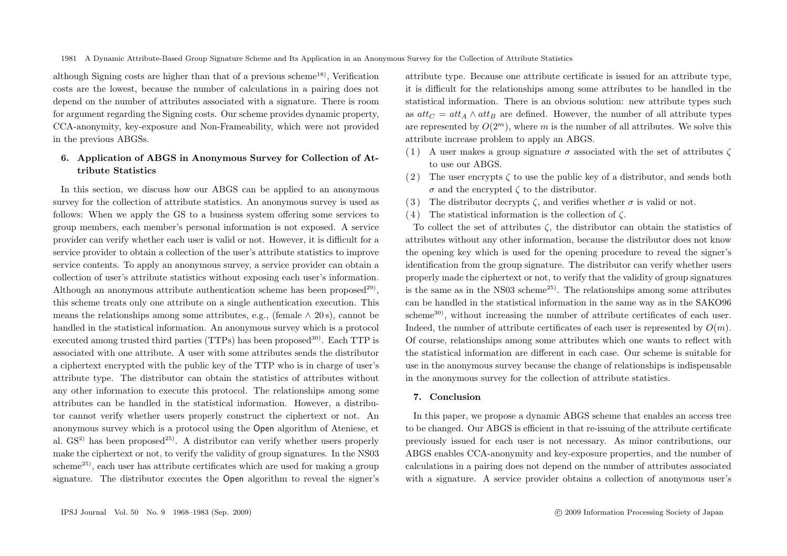although Signing costs are higher than that of a previous scheme<sup>18)</sup>, Verification costs are the lowest, because the number of calculations in a pairing does not depend on the number of attributes associated with a signature. There is room for argument regarding the Signing costs. Our scheme provides dynamic property, CCA-anonymity, key-exposure and Non-Frameability, which were not provided in the previous ABGSs.

## **6. Application of ABGS in Anonymous Survey for Collection of Attribute Statistics**

In this section, we discuss how our ABGS can be applied to an anonymous survey for the collection of attribute statistics. An anonymous survey is used as follows: When we apply the GS to a business system offering some services to group members, each member's personal information is not exposed. A service provider can verify whether each user is valid or not. However, it is difficult for a service provider to obtain a collection of the user's attribute statistics to improve service contents. To apply an anonymous survey, a service provider can obtain a collection of user's attribute statistics without exposing each user's information. Although an anonymous attribute authentication scheme has been proposed<sup>29)</sup>, this scheme treats only one attribute on a single authentication execution. This means the relationships among some attributes, e.g., (female  $\land$  20s), cannot be handled in the statistical information. An anonymous survey which is a protocol executed among trusted third parties ( $TTPs$ ) has been proposed<sup>30)</sup>. Each  $TTP$  is associated with one attribute. A user with some attributes sends the distributor a ciphertext encrypted with the public key of the TTP who is in charge of user's attribute type. The distributor can obtain the statistics of attributes without any other information to execute this protocol. The relationships among some attributes can be handled in the statistical information. However, a distributor cannot verify whether users properly construct the ciphertext or not. An anonymous survey which is a protocol using the Open algorithm of Ateniese, et al.  $GS<sup>2</sup>$  has been proposed<sup>25)</sup>. A distributor can verify whether users properly make the ciphertext or not, to verify the validity of group signatures. In the NS03 scheme<sup>25</sup>), each user has attribute certificates which are used for making a group signature. The distributor executes the Open algorithm to reveal the signer's

attribute type. Because one attribute certificate is issued for an attribute type, it is difficult for the relationships among some attributes to be handled in the statistical information. There is an obvious solution: new attribute types such as  $at_{C} = att_{A} \wedge att_{B}$  are defined. However, the number of all attribute types are represented by  $O(2^m)$ , where m is the number of all attributes. We solve this attribute increase problem to apply an ABGS.

- (1) A user makes a group signature  $\sigma$  associated with the set of attributes  $\zeta$ to use our ABGS.
- (2) The user encrypts  $\zeta$  to use the public key of a distributor, and sends both  $\sigma$  and the encrypted  $\zeta$  to the distributor.
- (3) The distributor decrypts  $\zeta$ , and verifies whether  $\sigma$  is valid or not.
- (4) The statistical information is the collection of  $\zeta$ .

To collect the set of attributes  $\zeta$ , the distributor can obtain the statistics of attributes without any other information, because the distributor does not know the opening key which is used for the opening procedure to reveal the signer's identification from the group signature. The distributor can verify whether users properly made the ciphertext or not, to verify that the validity of group signatures is the same as in the NS03 scheme<sup>25)</sup>. The relationships among some attributes can be handled in the statistical information in the same way as in the SAKO96 scheme30), without increasing the number of attribute certificates of each user. Indeed, the number of attribute certificates of each user is represented by  $O(m)$ . Of course, relationships among some attributes which one wants to reflect with the statistical information are different in each case. Our scheme is suitable for use in the anonymous survey because the change of relationships is indispensable in the anonymous survey for the collection of attribute statistics.

## **7. Conclusion**

In this paper, we propose a dynamic ABGS scheme that enables an access tree to be changed. Our ABGS is efficient in that re-issuing of the attribute certificate previously issued for each user is not necessary. As minor contributions, our ABGS enables CCA-anonymity and key-exposure properties, and the number of calculations in a pairing does not depend on the number of attributes associated with a signature. A service provider obtains a collection of anonymous user's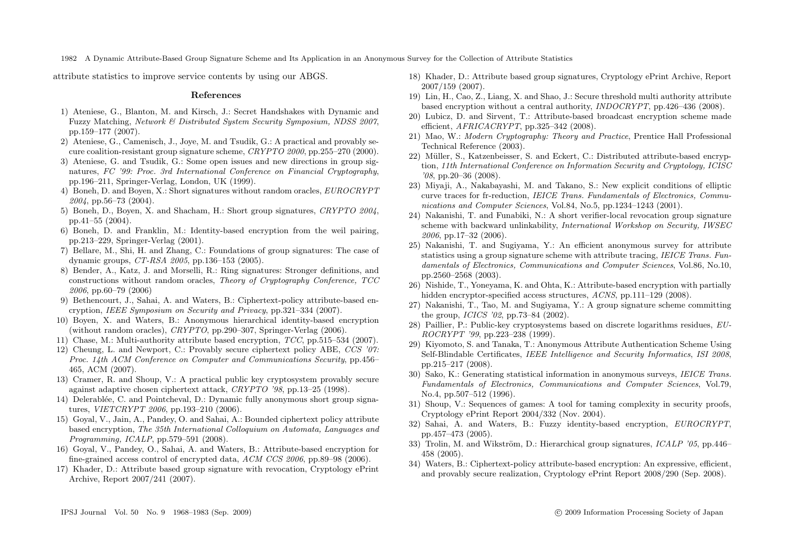attribute statistics to improve service contents by using our ABGS.

#### **References**

- 1) Ateniese, G., Blanton, M. and Kirsch, J.: Secret Handshakes with Dynamic and Fuzzy Matching, *Network & Distributed System Security Symposium, NDSS 2007*, pp.159–177 (2007).
- 2) Ateniese, G., Camenisch, J., Joye, M. and Tsudik, G.: A practical and provably secure coalition-resistant group signature scheme, *CRYPTO 2000*, pp.255–270 (2000).
- 3) Ateniese, G. and Tsudik, G.: Some open issues and new directions in group signatures, *FC '99: Proc. 3rd International Conference on Financial Cryptography*, pp.196–211, Springer-Verlag, London, UK (1999).
- 4) Boneh, D. and Boyen, X.: Short signatures without random oracles, *EUROCRYPT 2004*, pp.56–73 (2004).
- 5) Boneh, D., Boyen, X. and Shacham, H.: Short group signatures, *CRYPTO 2004*, pp.41–55 (2004).
- 6) Boneh, D. and Franklin, M.: Identity-based encryption from the weil pairing, pp.213–229, Springer-Verlag (2001).
- 7) Bellare, M., Shi, H. and Zhang, C.: Foundations of group signatures: The case of dynamic groups, *CT-RSA 2005*, pp.136–153 (2005).
- 8) Bender, A., Katz, J. and Morselli, R.: Ring signatures: Stronger definitions, and constructions without random oracles, *Theory of Cryptography Conference, TCC 2006*, pp.60–79 (2006)
- 9) Bethencourt, J., Sahai, A. and Waters, B.: Ciphertext-policy attribute-based encryption, *IEEE Symposium on Security and Privacy*, pp.321–334 (2007).
- 10) Boyen, X. and Waters, B.: Anonymous hierarchical identity-based encryption (without random oracles), *CRYPTO*, pp.290–307, Springer-Verlag (2006).
- 11) Chase, M.: Multi-authority attribute based encryption, *TCC*, pp.515–534 (2007).
- 12) Cheung, L. and Newport, C.: Provably secure ciphertext policy ABE, *CCS '07: Proc. 14th ACM Conference on Computer and Communications Security*, pp.456– 465, ACM (2007).
- 13) Cramer, R. and Shoup, V.: A practical public key cryptosystem provably secure against adaptive chosen ciphertext attack, *CRYPTO '98*, pp.13–25 (1998).
- 14) Delerabl´ee, C. and Pointcheval, D.: Dynamic fully anonymous short group signatures, *VIETCRYPT 2006*, pp.193–210 (2006).
- 15) Goyal, V., Jain, A., Pandey, O. and Sahai, A.: Bounded ciphertext policy attribute based encryption, *The 35th International Colloquium on Automata, Languages and Programming, ICALP*, pp.579–591 (2008).
- 16) Goyal, V., Pandey, O., Sahai, A. and Waters, B.: Attribute-based encryption for fine-grained access control of encrypted data, *ACM CCS 2006*, pp.89–98 (2006).
- 17) Khader, D.: Attribute based group signature with revocation, Cryptology ePrint Archive, Report 2007/241 (2007).
- 18) Khader, D.: Attribute based group signatures, Cryptology ePrint Archive, Report 2007/159 (2007).
- 19) Lin, H., Cao, Z., Liang, X. and Shao, J.: Secure threshold multi authority attribute based encryption without a central authority, *INDOCRYPT*, pp.426–436 (2008).
- 20) Lubicz, D. and Sirvent, T.: Attribute-based broadcast encryption scheme made efficient, *AFRICACRYPT*, pp.325–342 (2008).
- 21) Mao, W.: *Modern Cryptography: Theory and Practice*, Prentice Hall Professional Technical Reference (2003).
- 22) Müller, S., Katzenbeisser, S. and Eckert, C.: Distributed attribute-based encryption, *11th International Conference on Information Security and Cryptology, ICISC '08*, pp.20–36 (2008).
- 23) Miyaji, A., Nakabayashi, M. and Takano, S.: New explicit conditions of elliptic curve traces for fr-reduction, *IEICE Trans. Fundamentals of Electronics, Communications and Computer Sciences*, Vol.84, No.5, pp.1234–1243 (2001).
- 24) Nakanishi, T. and Funabiki, N.: A short verifier-local revocation group signature scheme with backward unlinkability, *International Workshop on Security, IWSEC 2006*, pp.17–32 (2006).
- 25) Nakanishi, T. and Sugiyama, Y.: An efficient anonymous survey for attribute statistics using a group signature scheme with attribute tracing, *IEICE Trans. Fundamentals of Electronics, Communications and Computer Sciences*, Vol.86, No.10, pp.2560–2568 (2003).
- 26) Nishide, T., Yoneyama, K. and Ohta, K.: Attribute-based encryption with partially hidden encryptor-specified access structures, *ACNS*, pp.111–129 (2008).
- 27) Nakanishi, T., Tao, M. and Sugiyama, Y.: A group signature scheme committing the group, *ICICS '02*, pp.73–84 (2002).
- 28) Paillier, P.: Public-key cryptosystems based on discrete logarithms residues, *EU-ROCRYPT '99*, pp.223–238 (1999).
- 29) Kiyomoto, S. and Tanaka, T.: Anonymous Attribute Authentication Scheme Using Self-Blindable Certificates, *IEEE Intelligence and Security Informatics*, *ISI 2008*, pp.215–217 (2008).
- 30) Sako, K.: Generating statistical information in anonymous surveys, *IEICE Trans. Fundamentals of Electronics, Communications and Computer Sciences*, Vol.79, No.4, pp.507–512 (1996).
- 31) Shoup, V.: Sequences of games: A tool for taming complexity in security proofs, Cryptology ePrint Report 2004/332 (Nov. 2004).
- 32) Sahai, A. and Waters, B.: Fuzzy identity-based encryption, *EUROCRYPT*, pp.457–473 (2005).
- 33) Trolin, M. and Wikström, D.: Hierarchical group signatures, *ICALP '05*, pp.446– 458 (2005).
- 34) Waters, B.: Ciphertext-policy attribute-based encryption: An expressive, efficient, and provably secure realization, Cryptology ePrint Report 2008/290 (Sep. 2008).